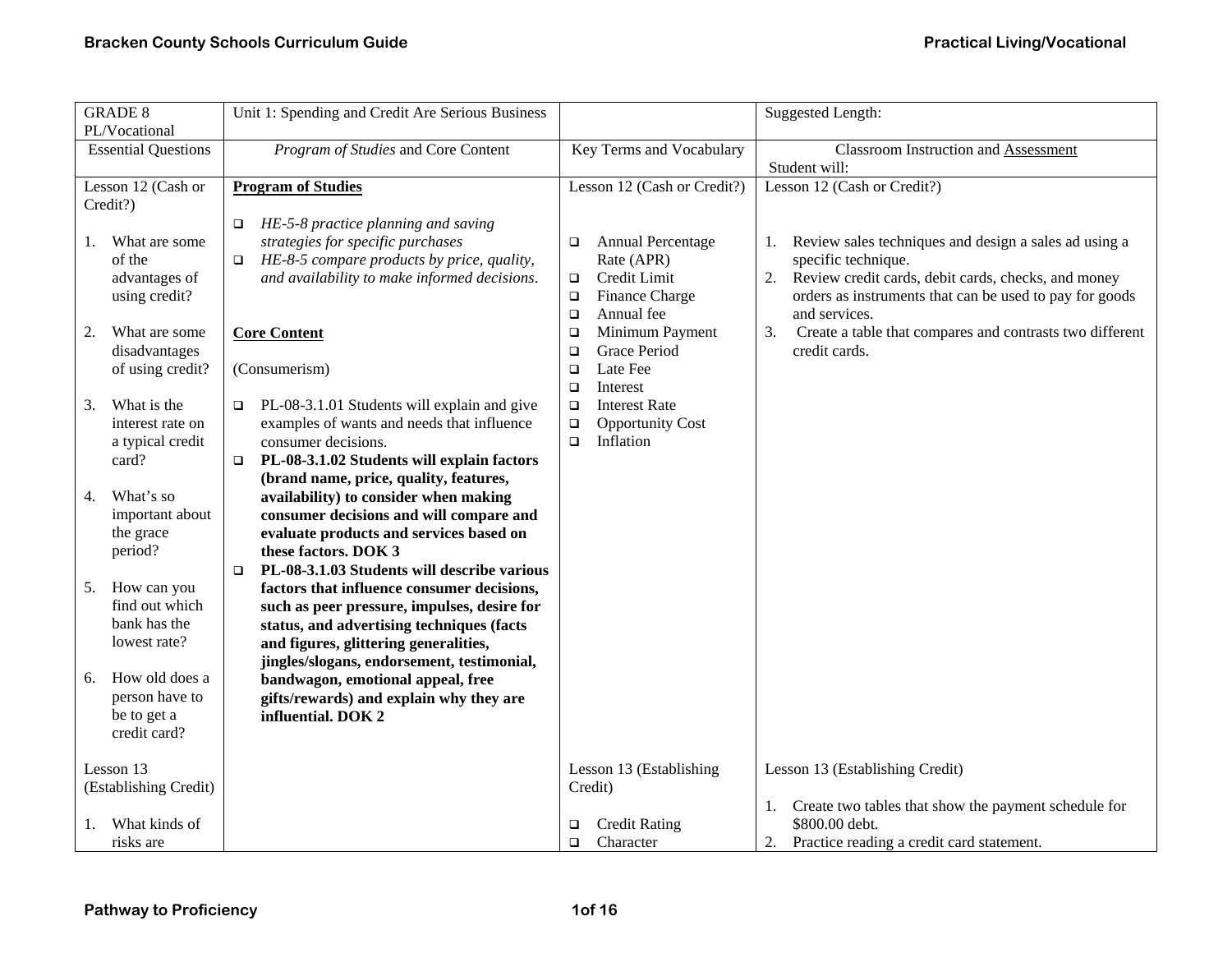| <b>GRADE 8</b><br>PL/Vocational                                                                                                                                                                                                                                                                                                                                          | Unit 1: Spending and Credit Are Serious Business                                                                                                                                                                                                                                                                                                                                                                                                                                                                                                                                                                                                                                                                                                                                                                                                                                                                                                 |                                                                                                                                                                                                                                                                                                                                                         | <b>Suggested Length:</b>                                                                                                                                                                                                                                                                                                                                    |
|--------------------------------------------------------------------------------------------------------------------------------------------------------------------------------------------------------------------------------------------------------------------------------------------------------------------------------------------------------------------------|--------------------------------------------------------------------------------------------------------------------------------------------------------------------------------------------------------------------------------------------------------------------------------------------------------------------------------------------------------------------------------------------------------------------------------------------------------------------------------------------------------------------------------------------------------------------------------------------------------------------------------------------------------------------------------------------------------------------------------------------------------------------------------------------------------------------------------------------------------------------------------------------------------------------------------------------------|---------------------------------------------------------------------------------------------------------------------------------------------------------------------------------------------------------------------------------------------------------------------------------------------------------------------------------------------------------|-------------------------------------------------------------------------------------------------------------------------------------------------------------------------------------------------------------------------------------------------------------------------------------------------------------------------------------------------------------|
| <b>Essential Questions</b>                                                                                                                                                                                                                                                                                                                                               | Program of Studies and Core Content                                                                                                                                                                                                                                                                                                                                                                                                                                                                                                                                                                                                                                                                                                                                                                                                                                                                                                              | Key Terms and Vocabulary                                                                                                                                                                                                                                                                                                                                | <b>Classroom Instruction and Assessment</b>                                                                                                                                                                                                                                                                                                                 |
| Lesson 12 (Cash or<br>Credit?)<br>What are some<br>1.<br>of the<br>advantages of<br>using credit?<br>2.<br>What are some<br>disadvantages<br>of using credit?<br>What is the<br>3.<br>interest rate on<br>a typical credit<br>card?<br>What's so<br>4.<br>important about<br>the grace<br>period?<br>How can you<br>5.<br>find out which<br>bank has the<br>lowest rate? | <b>Program of Studies</b><br>HE-5-8 practice planning and saving<br>$\Box$<br>strategies for specific purchases<br>HE-8-5 compare products by price, quality,<br>$\Box$<br>and availability to make informed decisions.<br><b>Core Content</b><br>(Consumerism)<br>PL-08-3.1.01 Students will explain and give<br>$\Box$<br>examples of wants and needs that influence<br>consumer decisions.<br>PL-08-3.1.02 Students will explain factors<br>$\Box$<br>(brand name, price, quality, features,<br>availability) to consider when making<br>consumer decisions and will compare and<br>evaluate products and services based on<br>these factors. DOK 3<br>PL-08-3.1.03 Students will describe various<br>$\Box$<br>factors that influence consumer decisions,<br>such as peer pressure, impulses, desire for<br>status, and advertising techniques (facts<br>and figures, glittering generalities,<br>jingles/slogans, endorsement, testimonial, | Lesson 12 (Cash or Credit?)<br>Annual Percentage<br>$\Box$<br>Rate (APR)<br>Credit Limit<br>$\Box$<br>Finance Charge<br>$\Box$<br>$\Box$<br>Annual fee<br>Minimum Payment<br>$\Box$<br>Grace Period<br>$\Box$<br>Late Fee<br>$\Box$<br>Interest<br>$\Box$<br><b>Interest Rate</b><br>$\Box$<br><b>Opportunity Cost</b><br>$\Box$<br>Inflation<br>$\Box$ | Student will:<br>Lesson 12 (Cash or Credit?)<br>Review sales techniques and design a sales ad using a<br>1.<br>specific technique.<br>2. Review credit cards, debit cards, checks, and money<br>orders as instruments that can be used to pay for goods<br>and services.<br>3.<br>Create a table that compares and contrasts two different<br>credit cards. |
| How old does a<br>6.<br>person have to<br>be to get a<br>credit card?                                                                                                                                                                                                                                                                                                    | bandwagon, emotional appeal, free<br>gifts/rewards) and explain why they are<br>influential. DOK 2                                                                                                                                                                                                                                                                                                                                                                                                                                                                                                                                                                                                                                                                                                                                                                                                                                               |                                                                                                                                                                                                                                                                                                                                                         |                                                                                                                                                                                                                                                                                                                                                             |
| Lesson 13<br>(Establishing Credit)                                                                                                                                                                                                                                                                                                                                       |                                                                                                                                                                                                                                                                                                                                                                                                                                                                                                                                                                                                                                                                                                                                                                                                                                                                                                                                                  | Lesson 13 (Establishing<br>Credit)                                                                                                                                                                                                                                                                                                                      | Lesson 13 (Establishing Credit)                                                                                                                                                                                                                                                                                                                             |
| What kinds of<br>1.<br>risks are                                                                                                                                                                                                                                                                                                                                         |                                                                                                                                                                                                                                                                                                                                                                                                                                                                                                                                                                                                                                                                                                                                                                                                                                                                                                                                                  | <b>Credit Rating</b><br>❏<br>Character<br>$\Box$                                                                                                                                                                                                                                                                                                        | 1. Create two tables that show the payment schedule for<br>\$800.00 debt.<br>Practice reading a credit card statement.<br>2.                                                                                                                                                                                                                                |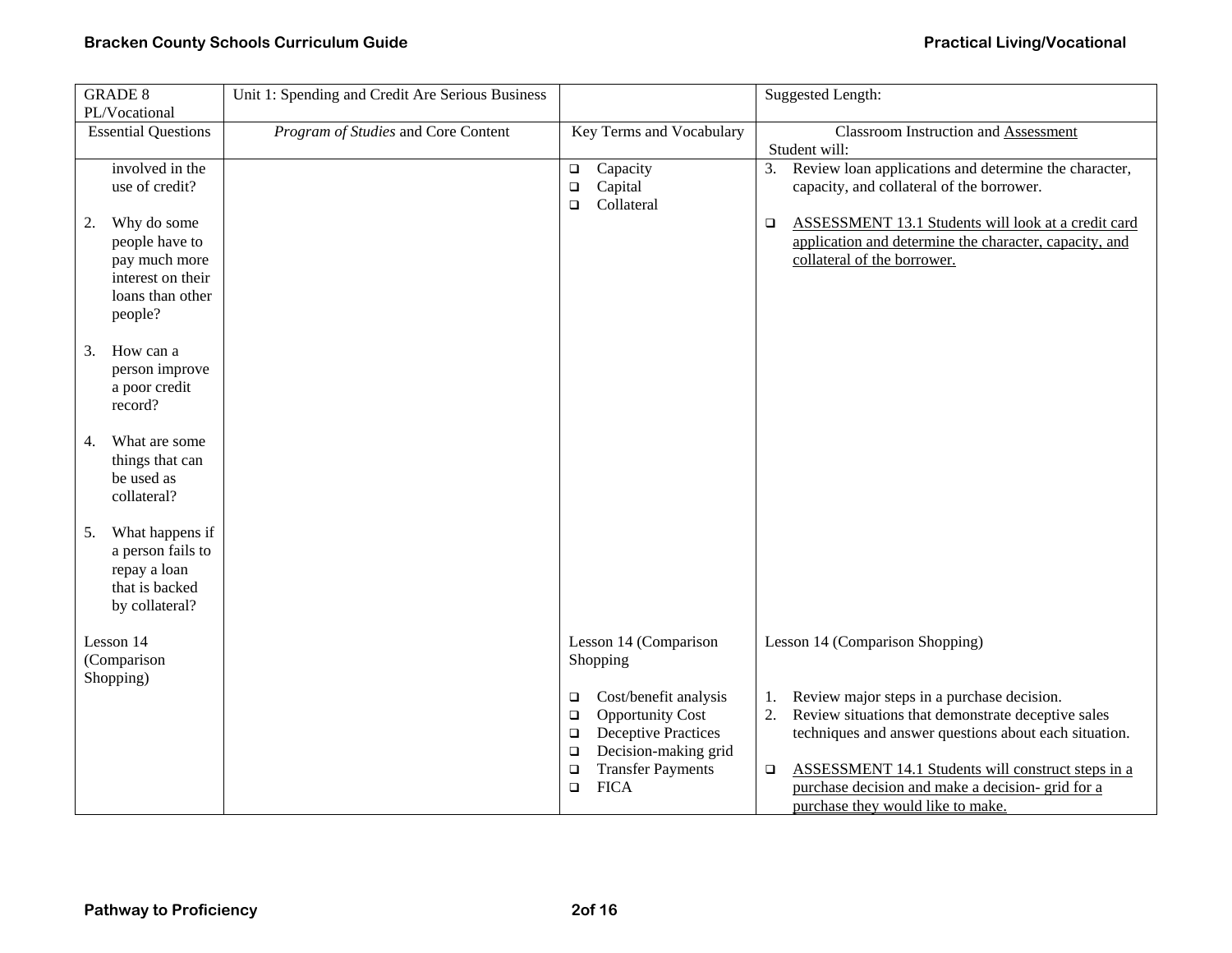| <b>GRADE 8</b>             | Unit 1: Spending and Credit Are Serious Business |                                           | <b>Suggested Length:</b>                                      |
|----------------------------|--------------------------------------------------|-------------------------------------------|---------------------------------------------------------------|
| PL/Vocational              |                                                  |                                           |                                                               |
| <b>Essential Questions</b> | Program of Studies and Core Content              | Key Terms and Vocabulary                  | <b>Classroom Instruction and Assessment</b>                   |
|                            |                                                  |                                           | Student will:                                                 |
| involved in the            |                                                  | Capacity<br>$\Box$                        | 3. Review loan applications and determine the character,      |
| use of credit?             |                                                  | Capital<br>$\Box$<br>Collateral<br>$\Box$ | capacity, and collateral of the borrower.                     |
| Why do some<br>2.          |                                                  |                                           | ASSESSMENT 13.1 Students will look at a credit card<br>$\Box$ |
| people have to             |                                                  |                                           | application and determine the character, capacity, and        |
| pay much more              |                                                  |                                           | collateral of the borrower.                                   |
| interest on their          |                                                  |                                           |                                                               |
| loans than other           |                                                  |                                           |                                                               |
| people?                    |                                                  |                                           |                                                               |
|                            |                                                  |                                           |                                                               |
| How can a<br>3.            |                                                  |                                           |                                                               |
| person improve             |                                                  |                                           |                                                               |
| a poor credit              |                                                  |                                           |                                                               |
| record?                    |                                                  |                                           |                                                               |
| What are some<br>4.        |                                                  |                                           |                                                               |
| things that can            |                                                  |                                           |                                                               |
| be used as                 |                                                  |                                           |                                                               |
| collateral?                |                                                  |                                           |                                                               |
|                            |                                                  |                                           |                                                               |
| What happens if<br>5.      |                                                  |                                           |                                                               |
| a person fails to          |                                                  |                                           |                                                               |
| repay a loan               |                                                  |                                           |                                                               |
| that is backed             |                                                  |                                           |                                                               |
| by collateral?             |                                                  |                                           |                                                               |
|                            |                                                  |                                           |                                                               |
| Lesson 14<br>(Comparison   |                                                  | Lesson 14 (Comparison                     | Lesson 14 (Comparison Shopping)                               |
| Shopping)                  |                                                  | Shopping                                  |                                                               |
|                            |                                                  | Cost/benefit analysis<br>$\Box$           | Review major steps in a purchase decision.<br>1.              |
|                            |                                                  | <b>Opportunity Cost</b><br>$\Box$         | Review situations that demonstrate deceptive sales<br>2.      |
|                            |                                                  | <b>Deceptive Practices</b><br>$\Box$      | techniques and answer questions about each situation.         |
|                            |                                                  | Decision-making grid<br>$\Box$            |                                                               |
|                            |                                                  | <b>Transfer Payments</b><br>$\Box$        | ASSESSMENT 14.1 Students will construct steps in a<br>$\Box$  |
|                            |                                                  | <b>FICA</b><br>$\Box$                     | purchase decision and make a decision- grid for a             |
|                            |                                                  |                                           | purchase they would like to make.                             |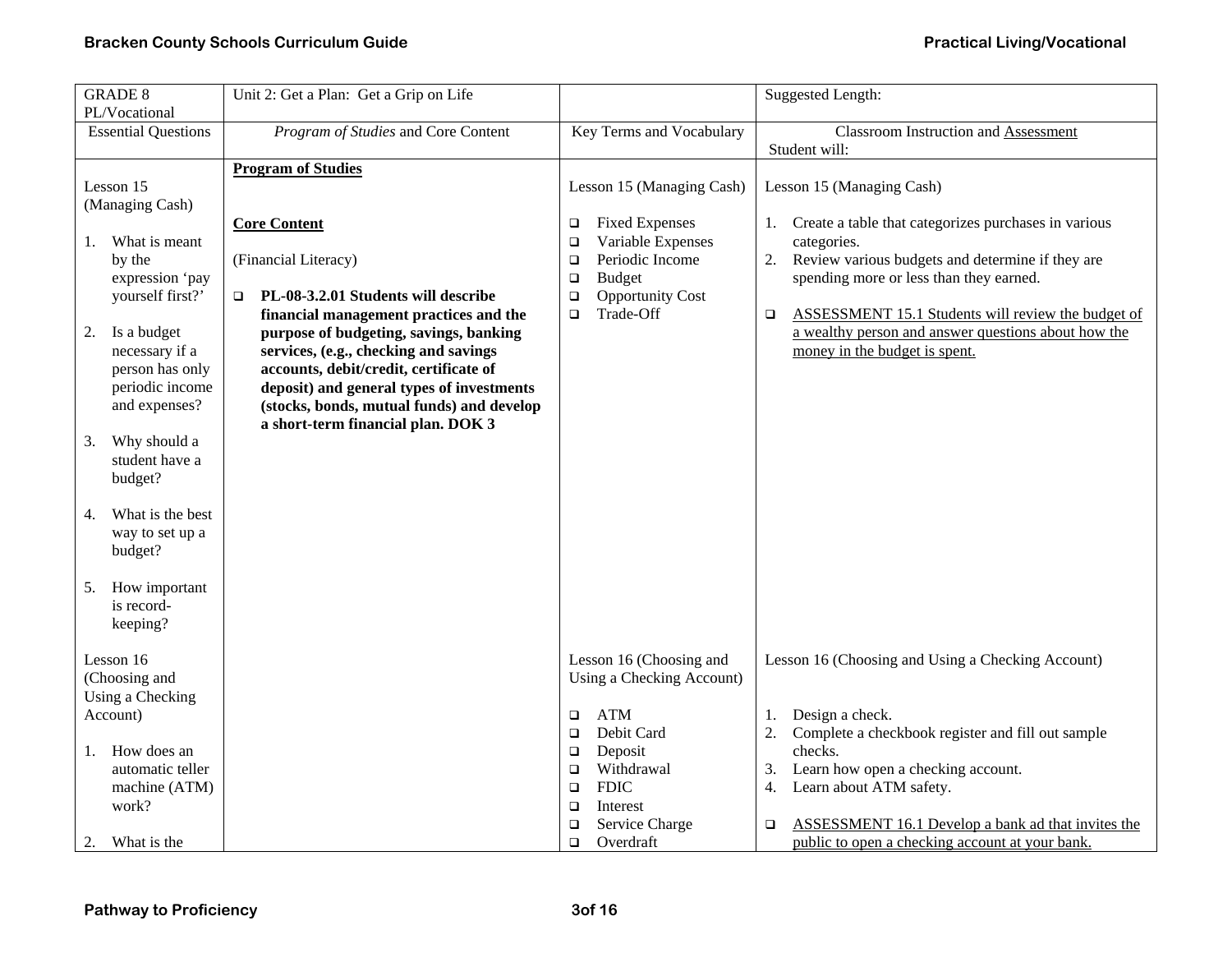| <b>GRADE 8</b>                                                                                                                                                                                                                                                                                   | Unit 2: Get a Plan: Get a Grip on Life                                                                                                                                                                                                                                                                                                                                                              |                                                                                                                                                                          | <b>Suggested Length:</b>                                                                                                                                                                                                                                                                                                            |
|--------------------------------------------------------------------------------------------------------------------------------------------------------------------------------------------------------------------------------------------------------------------------------------------------|-----------------------------------------------------------------------------------------------------------------------------------------------------------------------------------------------------------------------------------------------------------------------------------------------------------------------------------------------------------------------------------------------------|--------------------------------------------------------------------------------------------------------------------------------------------------------------------------|-------------------------------------------------------------------------------------------------------------------------------------------------------------------------------------------------------------------------------------------------------------------------------------------------------------------------------------|
| PL/Vocational<br><b>Essential Questions</b>                                                                                                                                                                                                                                                      | Program of Studies and Core Content                                                                                                                                                                                                                                                                                                                                                                 | Key Terms and Vocabulary                                                                                                                                                 | <b>Classroom Instruction and Assessment</b><br>Student will:                                                                                                                                                                                                                                                                        |
| Lesson 15                                                                                                                                                                                                                                                                                        | <b>Program of Studies</b>                                                                                                                                                                                                                                                                                                                                                                           | Lesson 15 (Managing Cash)                                                                                                                                                | Lesson 15 (Managing Cash)                                                                                                                                                                                                                                                                                                           |
| (Managing Cash)<br>What is meant<br>1.<br>by the<br>expression 'pay<br>yourself first?'<br>Is a budget<br>2.<br>necessary if a<br>person has only<br>periodic income<br>and expenses?<br>Why should a<br>3.<br>student have a<br>budget?<br>What is the best<br>4.<br>way to set up a<br>budget? | <b>Core Content</b><br>(Financial Literacy)<br>PL-08-3.2.01 Students will describe<br>$\Box$<br>financial management practices and the<br>purpose of budgeting, savings, banking<br>services, (e.g., checking and savings<br>accounts, debit/credit, certificate of<br>deposit) and general types of investments<br>(stocks, bonds, mutual funds) and develop<br>a short-term financial plan. DOK 3 | <b>Fixed Expenses</b><br>□<br>Variable Expenses<br>□<br>Periodic Income<br>$\Box$<br><b>Budget</b><br>$\Box$<br><b>Opportunity Cost</b><br>$\Box$<br>Trade-Off<br>$\Box$ | 1. Create a table that categorizes purchases in various<br>categories.<br>Review various budgets and determine if they are<br>2.<br>spending more or less than they earned.<br>ASSESSMENT 15.1 Students will review the budget of<br>$\Box$<br>a wealthy person and answer questions about how the<br>money in the budget is spent. |
| How important<br>5.<br>is record-<br>keeping?                                                                                                                                                                                                                                                    |                                                                                                                                                                                                                                                                                                                                                                                                     |                                                                                                                                                                          |                                                                                                                                                                                                                                                                                                                                     |
| Lesson 16<br>(Choosing and<br>Using a Checking<br>Account)                                                                                                                                                                                                                                       |                                                                                                                                                                                                                                                                                                                                                                                                     | Lesson 16 (Choosing and<br>Using a Checking Account)<br><b>ATM</b><br>$\Box$<br>Debit Card<br>$\Box$                                                                     | Lesson 16 (Choosing and Using a Checking Account)<br>Design a check.<br>1.<br>2.<br>Complete a checkbook register and fill out sample                                                                                                                                                                                               |
| How does an<br>1.<br>automatic teller<br>machine (ATM)<br>work?<br>2.<br>What is the                                                                                                                                                                                                             |                                                                                                                                                                                                                                                                                                                                                                                                     | Deposit<br>□<br>Withdrawal<br>$\Box$<br><b>FDIC</b><br>$\Box$<br>Interest<br>$\Box$<br>Service Charge<br>□<br>Overdraft<br>$\Box$                                        | checks.<br>3.<br>Learn how open a checking account.<br>Learn about ATM safety.<br>4.<br>ASSESSMENT 16.1 Develop a bank ad that invites the<br>▫<br>public to open a checking account at your bank.                                                                                                                                  |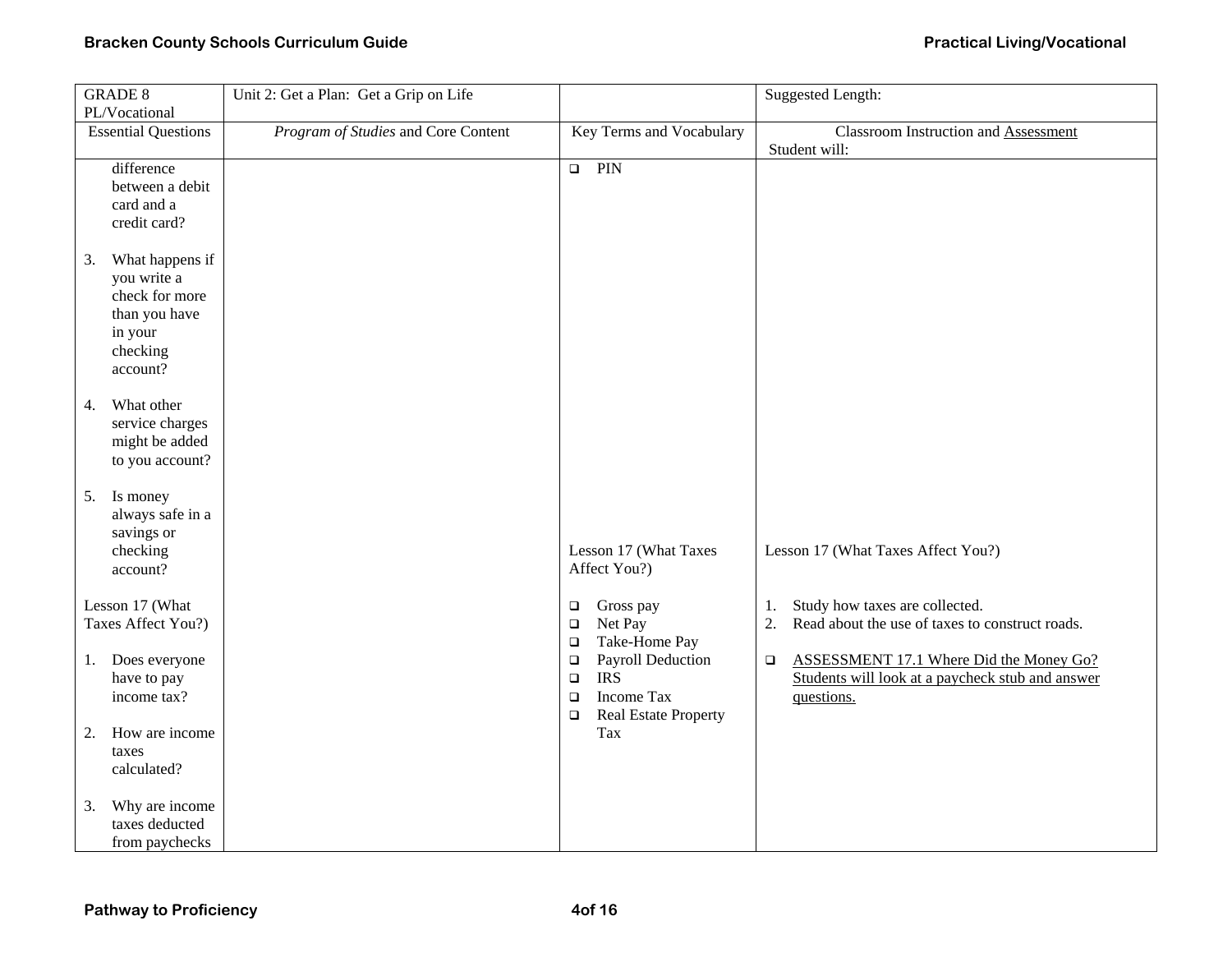| <b>GRADE 8</b>             | Unit 2: Get a Plan: Get a Grip on Life |                                                                      | <b>Suggested Length:</b>                              |
|----------------------------|----------------------------------------|----------------------------------------------------------------------|-------------------------------------------------------|
| PL/Vocational              |                                        |                                                                      |                                                       |
| <b>Essential Questions</b> | Program of Studies and Core Content    | Key Terms and Vocabulary                                             | <b>Classroom Instruction and Assessment</b>           |
|                            |                                        |                                                                      | Student will:                                         |
| difference                 |                                        | $\Box$ PIN                                                           |                                                       |
| between a debit            |                                        |                                                                      |                                                       |
| card and a                 |                                        |                                                                      |                                                       |
| credit card?               |                                        |                                                                      |                                                       |
| What happens if<br>3.      |                                        |                                                                      |                                                       |
| you write a                |                                        |                                                                      |                                                       |
| check for more             |                                        |                                                                      |                                                       |
| than you have              |                                        |                                                                      |                                                       |
| in your                    |                                        |                                                                      |                                                       |
| checking                   |                                        |                                                                      |                                                       |
| account?                   |                                        |                                                                      |                                                       |
|                            |                                        |                                                                      |                                                       |
| What other<br>4.           |                                        |                                                                      |                                                       |
| service charges            |                                        |                                                                      |                                                       |
| might be added             |                                        |                                                                      |                                                       |
| to you account?            |                                        |                                                                      |                                                       |
| Is money<br>5.             |                                        |                                                                      |                                                       |
| always safe in a           |                                        |                                                                      |                                                       |
| savings or                 |                                        |                                                                      |                                                       |
| checking                   |                                        | Lesson 17 (What Taxes                                                | Lesson 17 (What Taxes Affect You?)                    |
| account?                   |                                        | Affect You?)                                                         |                                                       |
|                            |                                        |                                                                      |                                                       |
| Lesson 17 (What            |                                        | Gross pay<br>$\Box$                                                  | Study how taxes are collected.<br>1.                  |
| Taxes Affect You?)         |                                        | Net Pay<br>$\Box$                                                    | 2.<br>Read about the use of taxes to construct roads. |
|                            |                                        | Take-Home Pay<br>$\Box$                                              |                                                       |
| Does everyone<br>1.        |                                        | Payroll Deduction<br>$\Box$<br><b>IRS</b>                            | ASSESSMENT 17.1 Where Did the Money Go?<br>$\Box$     |
| have to pay                |                                        | $\Box$                                                               | Students will look at a paycheck stub and answer      |
| income tax?                |                                        | <b>Income Tax</b><br>$\Box$<br><b>Real Estate Property</b><br>$\Box$ | questions.                                            |
| How are income<br>2.       |                                        | Tax                                                                  |                                                       |
| taxes                      |                                        |                                                                      |                                                       |
| calculated?                |                                        |                                                                      |                                                       |
| Why are income<br>3.       |                                        |                                                                      |                                                       |
| taxes deducted             |                                        |                                                                      |                                                       |
| from paychecks             |                                        |                                                                      |                                                       |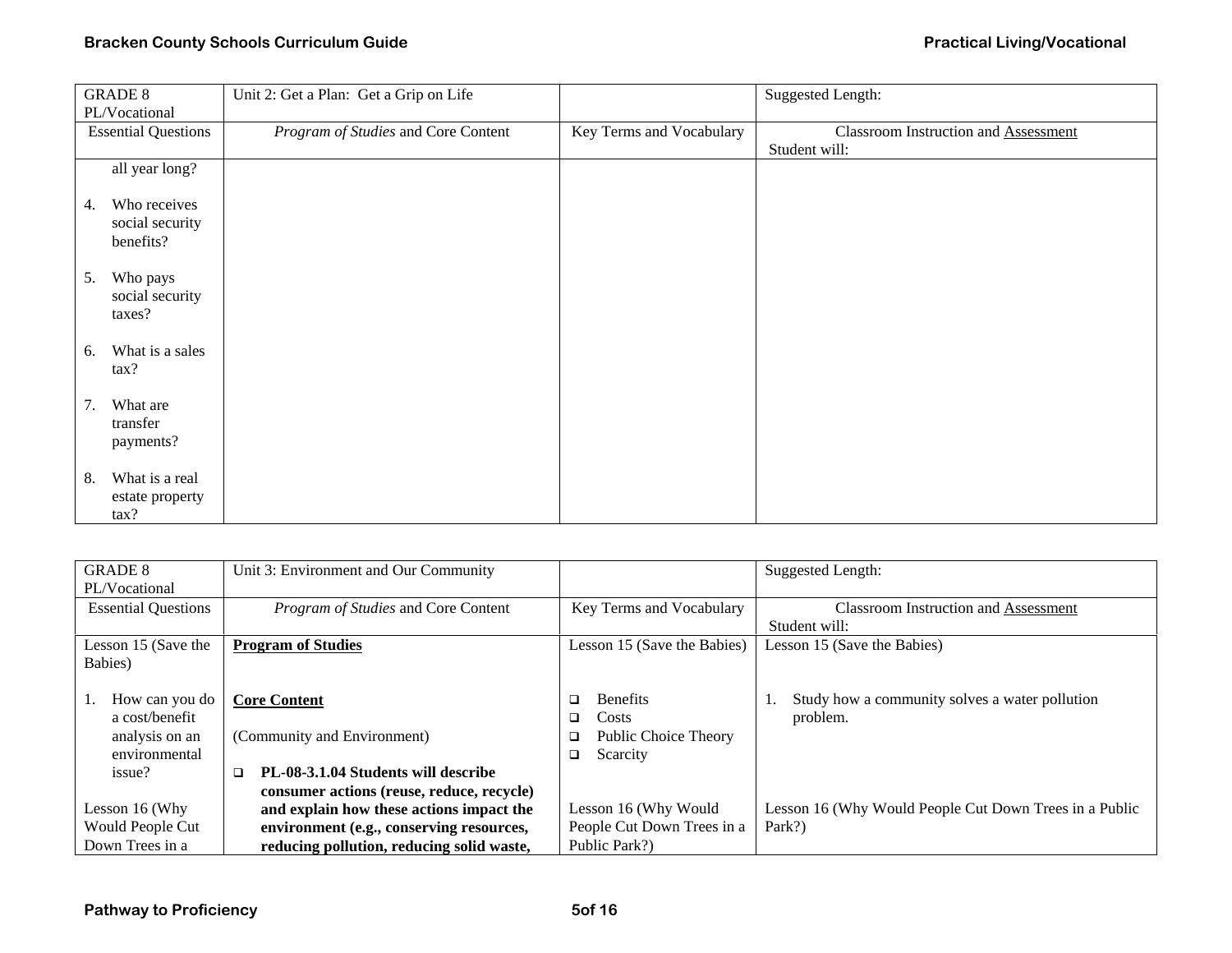|               | <b>GRADE 8</b>                               | Unit 2: Get a Plan: Get a Grip on Life |                          | <b>Suggested Length:</b>             |
|---------------|----------------------------------------------|----------------------------------------|--------------------------|--------------------------------------|
| PL/Vocational |                                              |                                        |                          |                                      |
|               | <b>Essential Questions</b>                   | Program of Studies and Core Content    | Key Terms and Vocabulary | Classroom Instruction and Assessment |
|               |                                              |                                        |                          | Student will:                        |
|               | all year long?                               |                                        |                          |                                      |
| 4.            | Who receives<br>social security<br>benefits? |                                        |                          |                                      |
| 5.            | Who pays<br>social security<br>taxes?        |                                        |                          |                                      |
| 6.            | What is a sales<br>tax?                      |                                        |                          |                                      |
| 7.            | What are<br>transfer<br>payments?            |                                        |                          |                                      |
| 8.            | What is a real<br>estate property<br>tax?    |                                        |                          |                                      |

| <b>GRADE 8</b>             | Unit 3: Environment and Our Community         |                                | Suggested Length:                                      |
|----------------------------|-----------------------------------------------|--------------------------------|--------------------------------------------------------|
| PL/Vocational              |                                               |                                |                                                        |
| <b>Essential Questions</b> | Program of Studies and Core Content           | Key Terms and Vocabulary       | <b>Classroom Instruction and Assessment</b>            |
|                            |                                               |                                | Student will:                                          |
| Lesson 15 (Save the        | <b>Program of Studies</b>                     | Lesson 15 (Save the Babies)    | Lesson 15 (Save the Babies)                            |
| Babies)                    |                                               |                                |                                                        |
|                            |                                               |                                |                                                        |
| How can you do             | <b>Core Content</b>                           | <b>Benefits</b><br>□           | Study how a community solves a water pollution         |
| a cost/benefit             |                                               | Costs<br>□                     | problem.                                               |
| analysis on an             | (Community and Environment)                   | Public Choice Theory<br>$\Box$ |                                                        |
| environmental              |                                               | Scarcity<br>$\Box$             |                                                        |
| issue?                     | PL-08-3.1.04 Students will describe<br>$\Box$ |                                |                                                        |
|                            | consumer actions (reuse, reduce, recycle)     |                                |                                                        |
| Lesson 16 (Why             | and explain how these actions impact the      | Lesson 16 (Why Would           | Lesson 16 (Why Would People Cut Down Trees in a Public |
| Would People Cut           | environment (e.g., conserving resources,      | People Cut Down Trees in a     | Park?)                                                 |
| Down Trees in a            | reducing pollution, reducing solid waste,     | Public Park?)                  |                                                        |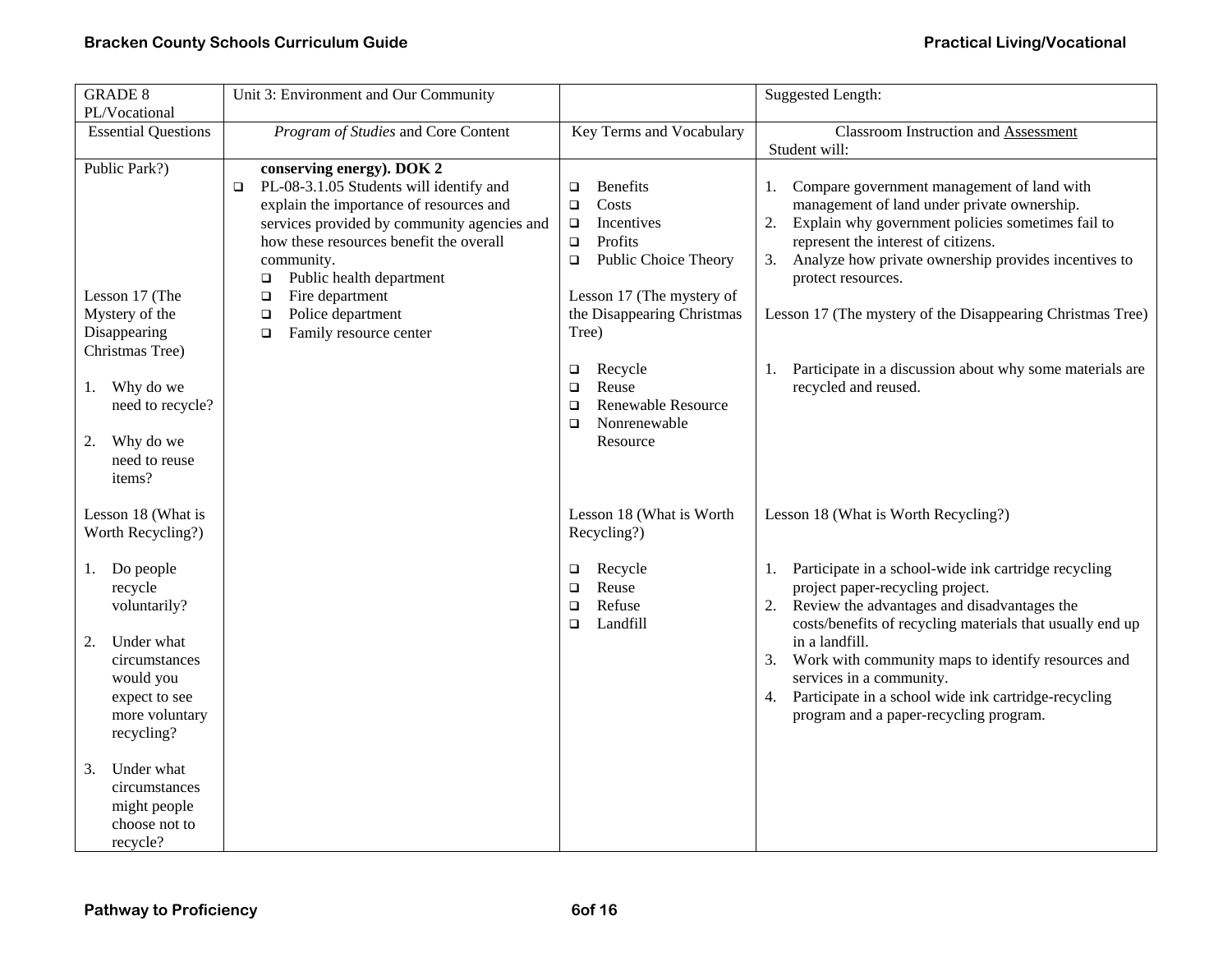| <b>GRADE 8</b>                                                                                                                                | Unit 3: Environment and Our Community                                                                                                                                                                                                                                                                                                                              |                                                                                                                                                                                                 | <b>Suggested Length:</b>                                                                                                                                                                                                                                                                                                                                                                                                     |
|-----------------------------------------------------------------------------------------------------------------------------------------------|--------------------------------------------------------------------------------------------------------------------------------------------------------------------------------------------------------------------------------------------------------------------------------------------------------------------------------------------------------------------|-------------------------------------------------------------------------------------------------------------------------------------------------------------------------------------------------|------------------------------------------------------------------------------------------------------------------------------------------------------------------------------------------------------------------------------------------------------------------------------------------------------------------------------------------------------------------------------------------------------------------------------|
| PL/Vocational<br><b>Essential Questions</b>                                                                                                   | Program of Studies and Core Content                                                                                                                                                                                                                                                                                                                                | Key Terms and Vocabulary                                                                                                                                                                        | Classroom Instruction and Assessment                                                                                                                                                                                                                                                                                                                                                                                         |
|                                                                                                                                               |                                                                                                                                                                                                                                                                                                                                                                    |                                                                                                                                                                                                 | Student will:                                                                                                                                                                                                                                                                                                                                                                                                                |
| Public Park?)<br>Lesson 17 (The<br>Mystery of the<br>Disappearing<br>Christmas Tree)                                                          | conserving energy). DOK 2<br>PL-08-3.1.05 Students will identify and<br>$\Box$<br>explain the importance of resources and<br>services provided by community agencies and<br>how these resources benefit the overall<br>community.<br>Public health department<br>о<br>Fire department<br>$\Box$<br>Police department<br>$\Box$<br>Family resource center<br>$\Box$ | <b>Benefits</b><br>$\Box$<br>Costs<br>$\Box$<br>Incentives<br>$\Box$<br>Profits<br>$\Box$<br>Public Choice Theory<br>$\Box$<br>Lesson 17 (The mystery of<br>the Disappearing Christmas<br>Tree) | Compare government management of land with<br>1.<br>management of land under private ownership.<br>2.<br>Explain why government policies sometimes fail to<br>represent the interest of citizens.<br>Analyze how private ownership provides incentives to<br>3.<br>protect resources.<br>Lesson 17 (The mystery of the Disappearing Christmas Tree)                                                                          |
| Why do we<br>1.<br>need to recycle?<br>Why do we<br>2.<br>need to reuse<br>items?                                                             |                                                                                                                                                                                                                                                                                                                                                                    | Recycle<br>o<br>Reuse<br>$\Box$<br><b>Renewable Resource</b><br>$\Box$<br>Nonrenewable<br>$\Box$<br>Resource                                                                                    | 1. Participate in a discussion about why some materials are<br>recycled and reused.                                                                                                                                                                                                                                                                                                                                          |
| Lesson 18 (What is<br>Worth Recycling?)                                                                                                       |                                                                                                                                                                                                                                                                                                                                                                    | Lesson 18 (What is Worth<br>Recycling?)                                                                                                                                                         | Lesson 18 (What is Worth Recycling?)                                                                                                                                                                                                                                                                                                                                                                                         |
| Do people<br>1.<br>recycle<br>voluntarily?<br>Under what<br>2.<br>circumstances<br>would you<br>expect to see<br>more voluntary<br>recycling? |                                                                                                                                                                                                                                                                                                                                                                    | Recycle<br>□<br>Reuse<br>□<br>Refuse<br>$\Box$<br>Landfill<br>$\Box$                                                                                                                            | Participate in a school-wide ink cartridge recycling<br>1.<br>project paper-recycling project.<br>Review the advantages and disadvantages the<br>2.<br>costs/benefits of recycling materials that usually end up<br>in a landfill.<br>Work with community maps to identify resources and<br>services in a community.<br>Participate in a school wide ink cartridge-recycling<br>4.<br>program and a paper-recycling program. |
| 3.<br>Under what<br>circumstances<br>might people<br>choose not to<br>recycle?                                                                |                                                                                                                                                                                                                                                                                                                                                                    |                                                                                                                                                                                                 |                                                                                                                                                                                                                                                                                                                                                                                                                              |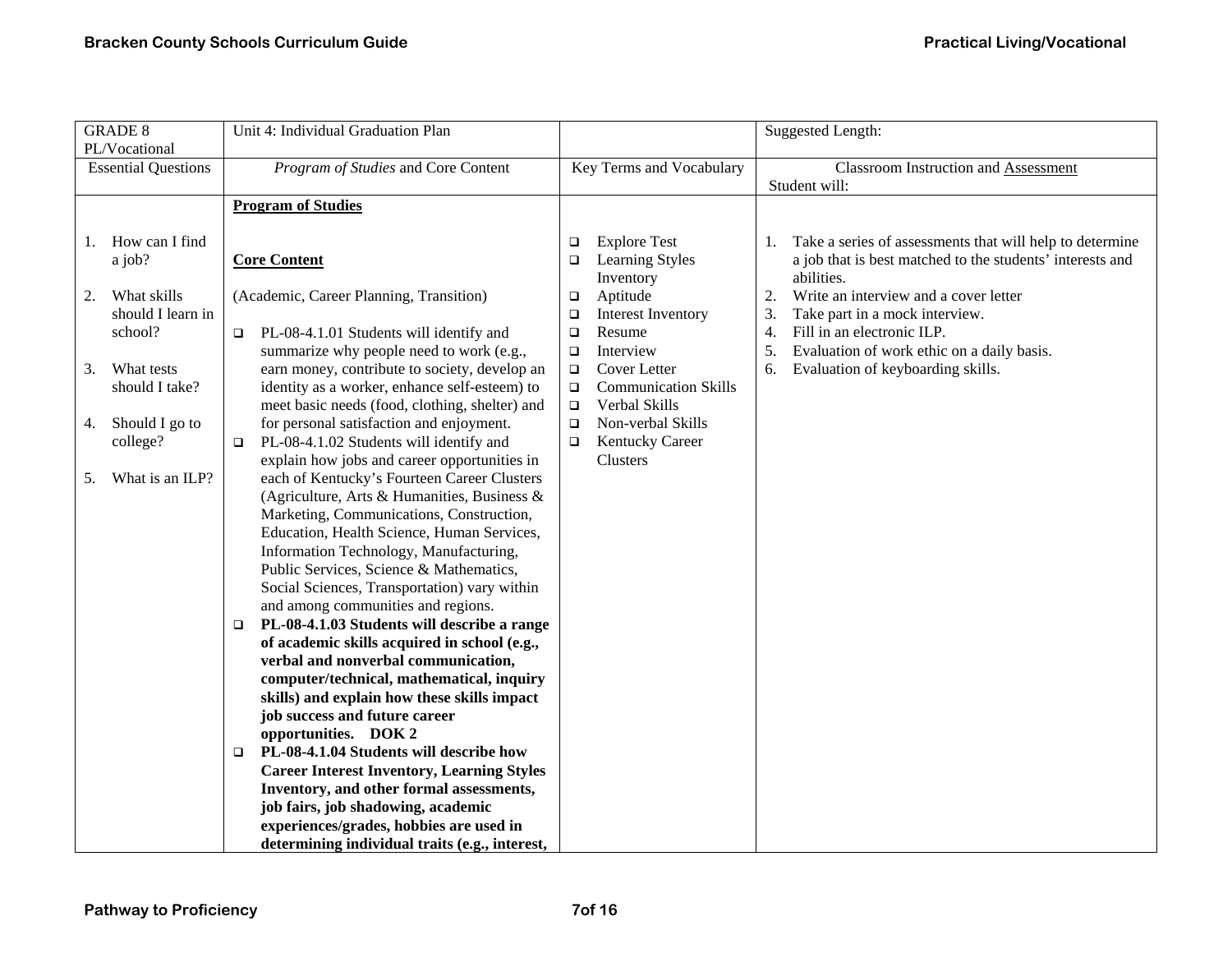| <b>Classroom Instruction and Assessment</b><br>Student will:<br>Take a series of assessments that will help to determine                                                                                                                                            |
|---------------------------------------------------------------------------------------------------------------------------------------------------------------------------------------------------------------------------------------------------------------------|
|                                                                                                                                                                                                                                                                     |
|                                                                                                                                                                                                                                                                     |
| a job that is best matched to the students' interests and<br>abilities.<br>Write an interview and a cover letter<br>Take part in a mock interview.<br>Fill in an electronic ILP.<br>Evaluation of work ethic on a daily basis.<br>Evaluation of keyboarding skills. |
|                                                                                                                                                                                                                                                                     |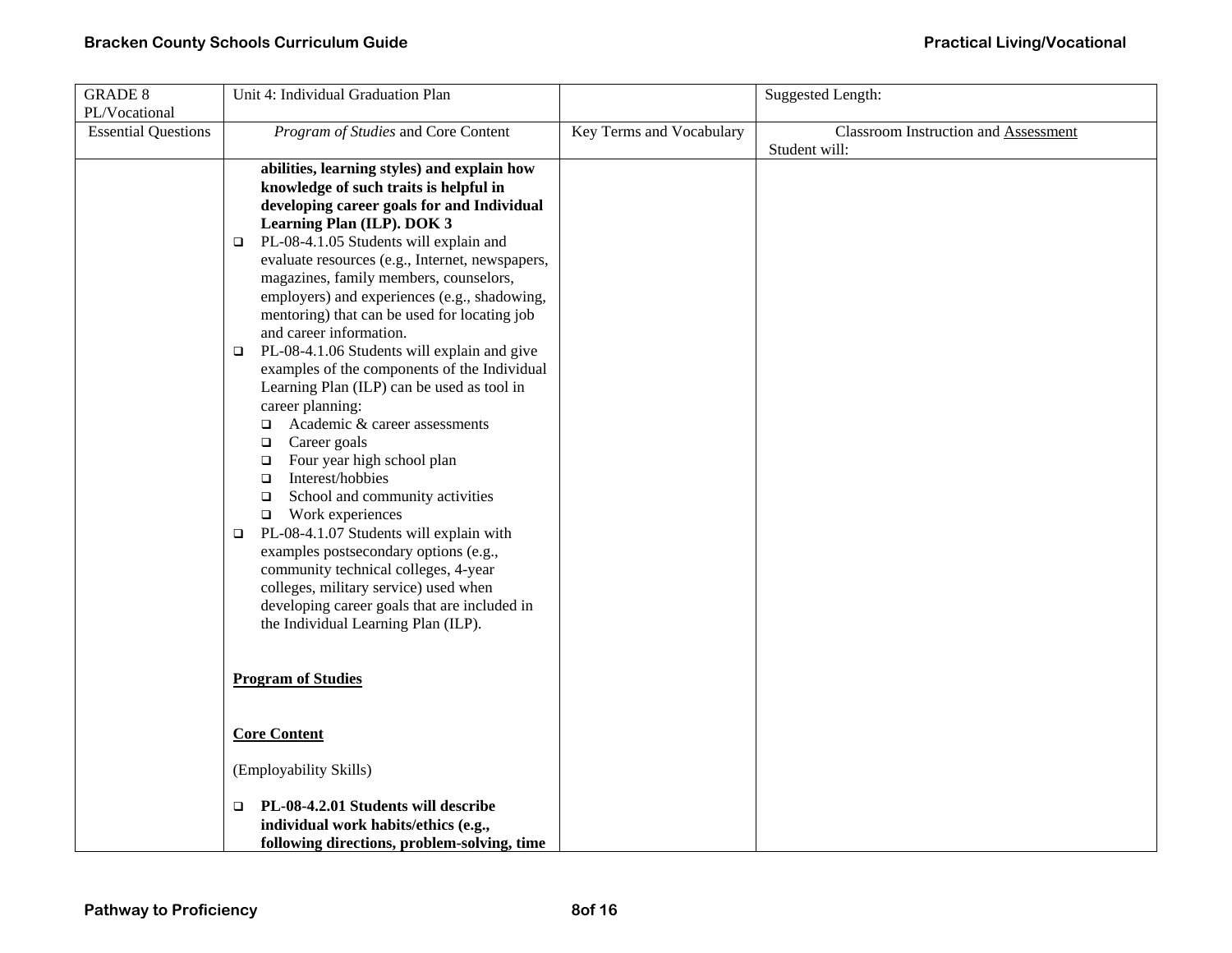| <b>GRADE 8</b>                              | Unit 4: Individual Graduation Plan                                                                                                                                                                                                                                                                                                                                                                                                                                                                                                                                                                                                                                                                                                                                                                                                                                                                                                                                                                                                                                                                                |                          | <b>Suggested Length:</b>                                     |
|---------------------------------------------|-------------------------------------------------------------------------------------------------------------------------------------------------------------------------------------------------------------------------------------------------------------------------------------------------------------------------------------------------------------------------------------------------------------------------------------------------------------------------------------------------------------------------------------------------------------------------------------------------------------------------------------------------------------------------------------------------------------------------------------------------------------------------------------------------------------------------------------------------------------------------------------------------------------------------------------------------------------------------------------------------------------------------------------------------------------------------------------------------------------------|--------------------------|--------------------------------------------------------------|
| PL/Vocational<br><b>Essential Questions</b> | Program of Studies and Core Content                                                                                                                                                                                                                                                                                                                                                                                                                                                                                                                                                                                                                                                                                                                                                                                                                                                                                                                                                                                                                                                                               | Key Terms and Vocabulary | <b>Classroom Instruction and Assessment</b><br>Student will: |
|                                             | abilities, learning styles) and explain how<br>knowledge of such traits is helpful in<br>developing career goals for and Individual<br>Learning Plan (ILP). DOK 3<br>PL-08-4.1.05 Students will explain and<br>$\Box$<br>evaluate resources (e.g., Internet, newspapers,<br>magazines, family members, counselors,<br>employers) and experiences (e.g., shadowing,<br>mentoring) that can be used for locating job<br>and career information.<br>PL-08-4.1.06 Students will explain and give<br>$\Box$<br>examples of the components of the Individual<br>Learning Plan (ILP) can be used as tool in<br>career planning:<br>Academic & career assessments<br>$\Box$<br>Career goals<br>$\Box$<br>Four year high school plan<br>$\Box$<br>Interest/hobbies<br>$\Box$<br>School and community activities<br>$\Box$<br>$\Box$ Work experiences<br>PL-08-4.1.07 Students will explain with<br>$\Box$<br>examples postsecondary options (e.g.,<br>community technical colleges, 4-year<br>colleges, military service) used when<br>developing career goals that are included in<br>the Individual Learning Plan (ILP). |                          |                                                              |
|                                             | <b>Program of Studies</b>                                                                                                                                                                                                                                                                                                                                                                                                                                                                                                                                                                                                                                                                                                                                                                                                                                                                                                                                                                                                                                                                                         |                          |                                                              |
|                                             | <b>Core Content</b>                                                                                                                                                                                                                                                                                                                                                                                                                                                                                                                                                                                                                                                                                                                                                                                                                                                                                                                                                                                                                                                                                               |                          |                                                              |
|                                             | (Employability Skills)                                                                                                                                                                                                                                                                                                                                                                                                                                                                                                                                                                                                                                                                                                                                                                                                                                                                                                                                                                                                                                                                                            |                          |                                                              |
|                                             | PL-08-4.2.01 Students will describe<br>▫<br>individual work habits/ethics (e.g.,<br>following directions, problem-solving, time                                                                                                                                                                                                                                                                                                                                                                                                                                                                                                                                                                                                                                                                                                                                                                                                                                                                                                                                                                                   |                          |                                                              |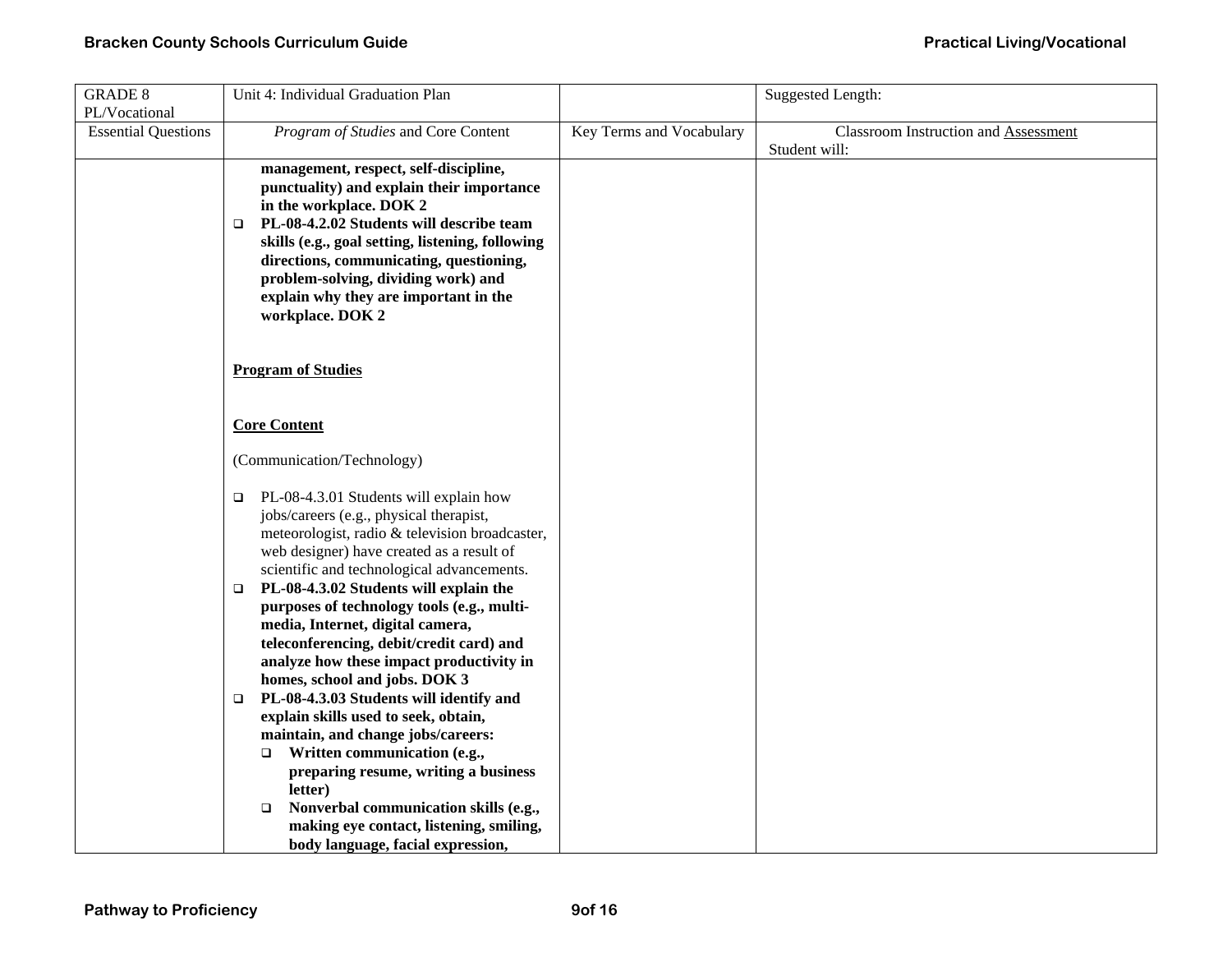| <b>GRADE 8</b>                              | Unit 4: Individual Graduation Plan                                                                                                                                                                                                                                                                                                                                                                                                                                                                                                                                                                                                                                                                                                                                                                                                    |                          | Suggested Length:                           |
|---------------------------------------------|---------------------------------------------------------------------------------------------------------------------------------------------------------------------------------------------------------------------------------------------------------------------------------------------------------------------------------------------------------------------------------------------------------------------------------------------------------------------------------------------------------------------------------------------------------------------------------------------------------------------------------------------------------------------------------------------------------------------------------------------------------------------------------------------------------------------------------------|--------------------------|---------------------------------------------|
| PL/Vocational<br><b>Essential Questions</b> | Program of Studies and Core Content                                                                                                                                                                                                                                                                                                                                                                                                                                                                                                                                                                                                                                                                                                                                                                                                   | Key Terms and Vocabulary | <b>Classroom Instruction and Assessment</b> |
|                                             |                                                                                                                                                                                                                                                                                                                                                                                                                                                                                                                                                                                                                                                                                                                                                                                                                                       |                          | Student will:                               |
|                                             | management, respect, self-discipline,<br>punctuality) and explain their importance<br>in the workplace. DOK 2<br>PL-08-4.2.02 Students will describe team<br>$\Box$<br>skills (e.g., goal setting, listening, following<br>directions, communicating, questioning,<br>problem-solving, dividing work) and<br>explain why they are important in the<br>workplace. DOK 2                                                                                                                                                                                                                                                                                                                                                                                                                                                                |                          |                                             |
|                                             | <b>Program of Studies</b>                                                                                                                                                                                                                                                                                                                                                                                                                                                                                                                                                                                                                                                                                                                                                                                                             |                          |                                             |
|                                             | <b>Core Content</b>                                                                                                                                                                                                                                                                                                                                                                                                                                                                                                                                                                                                                                                                                                                                                                                                                   |                          |                                             |
|                                             | (Communication/Technology)                                                                                                                                                                                                                                                                                                                                                                                                                                                                                                                                                                                                                                                                                                                                                                                                            |                          |                                             |
|                                             | PL-08-4.3.01 Students will explain how<br>$\Box$<br>jobs/careers (e.g., physical therapist,<br>meteorologist, radio & television broadcaster,<br>web designer) have created as a result of<br>scientific and technological advancements.<br>PL-08-4.3.02 Students will explain the<br>$\Box$<br>purposes of technology tools (e.g., multi-<br>media, Internet, digital camera,<br>teleconferencing, debit/credit card) and<br>analyze how these impact productivity in<br>homes, school and jobs. DOK 3<br>PL-08-4.3.03 Students will identify and<br>$\Box$<br>explain skills used to seek, obtain,<br>maintain, and change jobs/careers:<br>Written communication (e.g.,<br>$\Box$<br>preparing resume, writing a business<br>letter)<br>Nonverbal communication skills (e.g.,<br>$\Box$<br>making eye contact, listening, smiling, |                          |                                             |
|                                             | body language, facial expression,                                                                                                                                                                                                                                                                                                                                                                                                                                                                                                                                                                                                                                                                                                                                                                                                     |                          |                                             |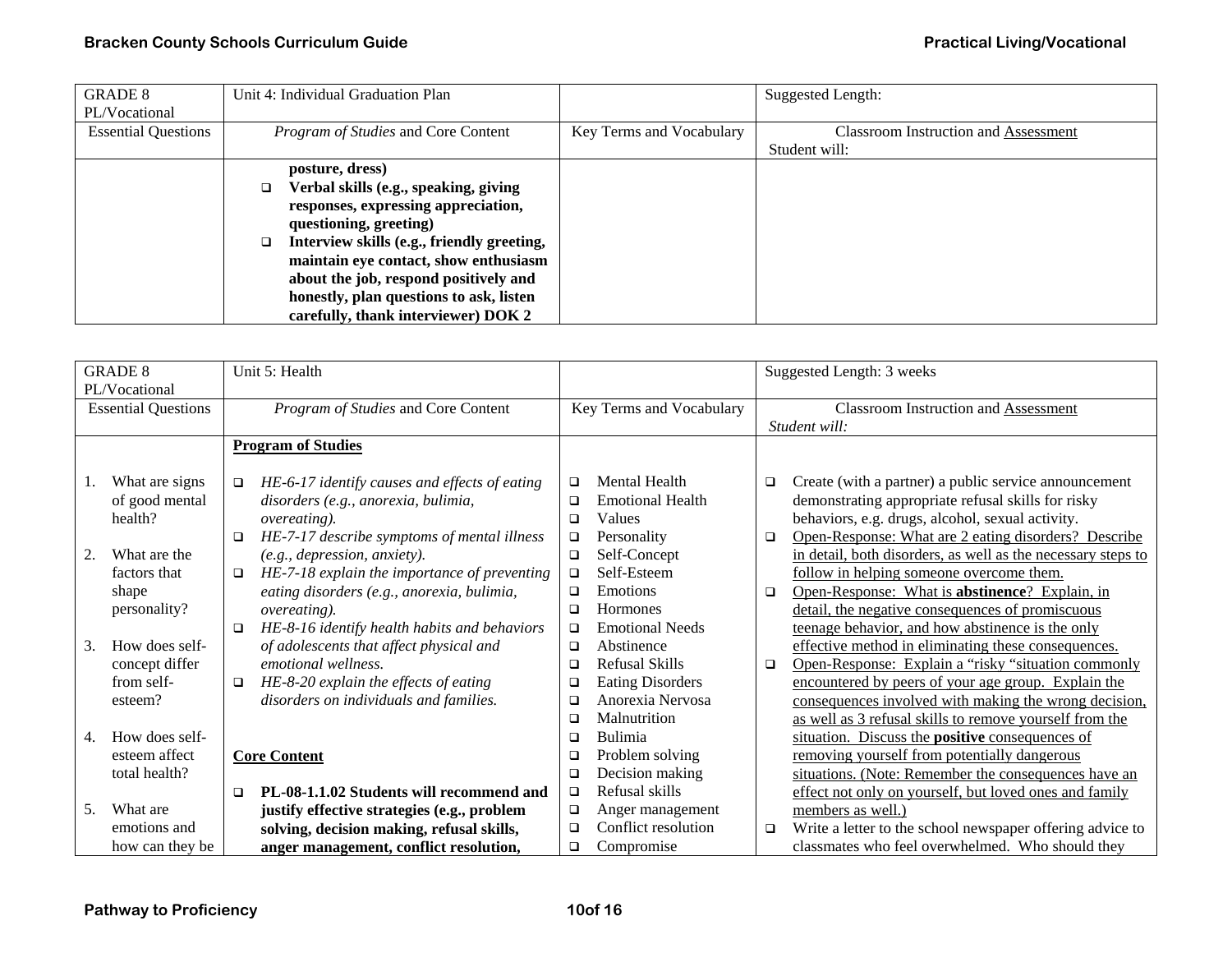| <b>GRADE 8</b>             | Unit 4: Individual Graduation Plan              |                          | <b>Suggested Length:</b>                    |
|----------------------------|-------------------------------------------------|--------------------------|---------------------------------------------|
| PL/Vocational              |                                                 |                          |                                             |
| <b>Essential Questions</b> | Program of Studies and Core Content             | Key Terms and Vocabulary | <b>Classroom Instruction and Assessment</b> |
|                            |                                                 |                          | Student will:                               |
|                            | posture, dress)                                 |                          |                                             |
|                            | Verbal skills (e.g., speaking, giving<br>o.     |                          |                                             |
|                            | responses, expressing appreciation,             |                          |                                             |
|                            | questioning, greeting)                          |                          |                                             |
|                            | Interview skills (e.g., friendly greeting,<br>◻ |                          |                                             |
|                            | maintain eye contact, show enthusiasm           |                          |                                             |
|                            | about the job, respond positively and           |                          |                                             |
|                            | honestly, plan questions to ask, listen         |                          |                                             |
|                            | carefully, thank interviewer) DOK 2             |                          |                                             |

|    | <b>GRADE 8</b>             | Unit 5: Health                                          |        |                          | Suggested Length: 3 weeks |                                                              |
|----|----------------------------|---------------------------------------------------------|--------|--------------------------|---------------------------|--------------------------------------------------------------|
|    | PL/Vocational              |                                                         |        |                          |                           |                                                              |
|    | <b>Essential Questions</b> | Program of Studies and Core Content                     |        | Key Terms and Vocabulary |                           | <b>Classroom Instruction and Assessment</b>                  |
|    |                            |                                                         |        | Student will:            |                           |                                                              |
|    |                            | <b>Program of Studies</b>                               |        |                          |                           |                                                              |
|    |                            |                                                         |        |                          |                           |                                                              |
| 1. | What are signs             | HE-6-17 identify causes and effects of eating<br>$\Box$ | $\Box$ | <b>Mental Health</b>     | $\Box$                    | Create (with a partner) a public service announcement        |
|    | of good mental             | disorders (e.g., anorexia, bulimia,                     | $\Box$ | <b>Emotional Health</b>  |                           | demonstrating appropriate refusal skills for risky           |
|    | health?                    | <i>overeating</i> ).                                    | $\Box$ | Values                   |                           | behaviors, e.g. drugs, alcohol, sexual activity.             |
|    |                            | HE-7-17 describe symptoms of mental illness<br>□        | $\Box$ | Personality              | □                         | Open-Response: What are 2 eating disorders? Describe         |
| 2. | What are the               | (e.g., depression, anxiety).                            | $\Box$ | Self-Concept             |                           | in detail, both disorders, as well as the necessary steps to |
|    | factors that               | HE-7-18 explain the importance of preventing<br>$\Box$  | $\Box$ | Self-Esteem              |                           | follow in helping someone overcome them.                     |
|    | shape                      | eating disorders (e.g., anorexia, bulimia,              | $\Box$ | Emotions                 | □                         | Open-Response: What is abstinence? Explain, in               |
|    | personality?               | <i>overeating</i> ).                                    | $\Box$ | <b>Hormones</b>          |                           | detail, the negative consequences of promiscuous             |
|    |                            | HE-8-16 identify health habits and behaviors<br>$\Box$  | $\Box$ | <b>Emotional Needs</b>   |                           | teenage behavior, and how abstinence is the only             |
| 3. | How does self-             | of adolescents that affect physical and                 | $\Box$ | Abstinence               |                           | effective method in eliminating these consequences.          |
|    | concept differ             | emotional wellness.                                     | $\Box$ | Refusal Skills           | $\Box$                    | Open-Response: Explain a "risky "situation commonly          |
|    | from self-                 | HE-8-20 explain the effects of eating<br>$\Box$         | $\Box$ | <b>Eating Disorders</b>  |                           | encountered by peers of your age group. Explain the          |
|    | esteem?                    | disorders on individuals and families.                  | $\Box$ | Anorexia Nervosa         |                           | consequences involved with making the wrong decision.        |
|    |                            |                                                         | $\Box$ | Malnutrition             |                           | as well as 3 refusal skills to remove yourself from the      |
| 4. | How does self-             |                                                         | $\Box$ | <b>Bulimia</b>           |                           | situation. Discuss the <b>positive</b> consequences of       |
|    | esteem affect              | <b>Core Content</b>                                     | $\Box$ | Problem solving          |                           | removing yourself from potentially dangerous                 |
|    | total health?              |                                                         | $\Box$ | Decision making          |                           | situations. (Note: Remember the consequences have an         |
|    |                            | PL-08-1.1.02 Students will recommend and<br>$\Box$      | $\Box$ | Refusal skills           |                           | effect not only on yourself, but loved ones and family       |
| 5. | What are                   | justify effective strategies (e.g., problem             | $\Box$ | Anger management         |                           | members as well.)                                            |
|    | emotions and               | solving, decision making, refusal skills,               | $\Box$ | Conflict resolution      | $\Box$                    | Write a letter to the school newspaper offering advice to    |
|    | how can they be            | anger management, conflict resolution,                  | $\Box$ | Compromise               |                           | classmates who feel overwhelmed. Who should they             |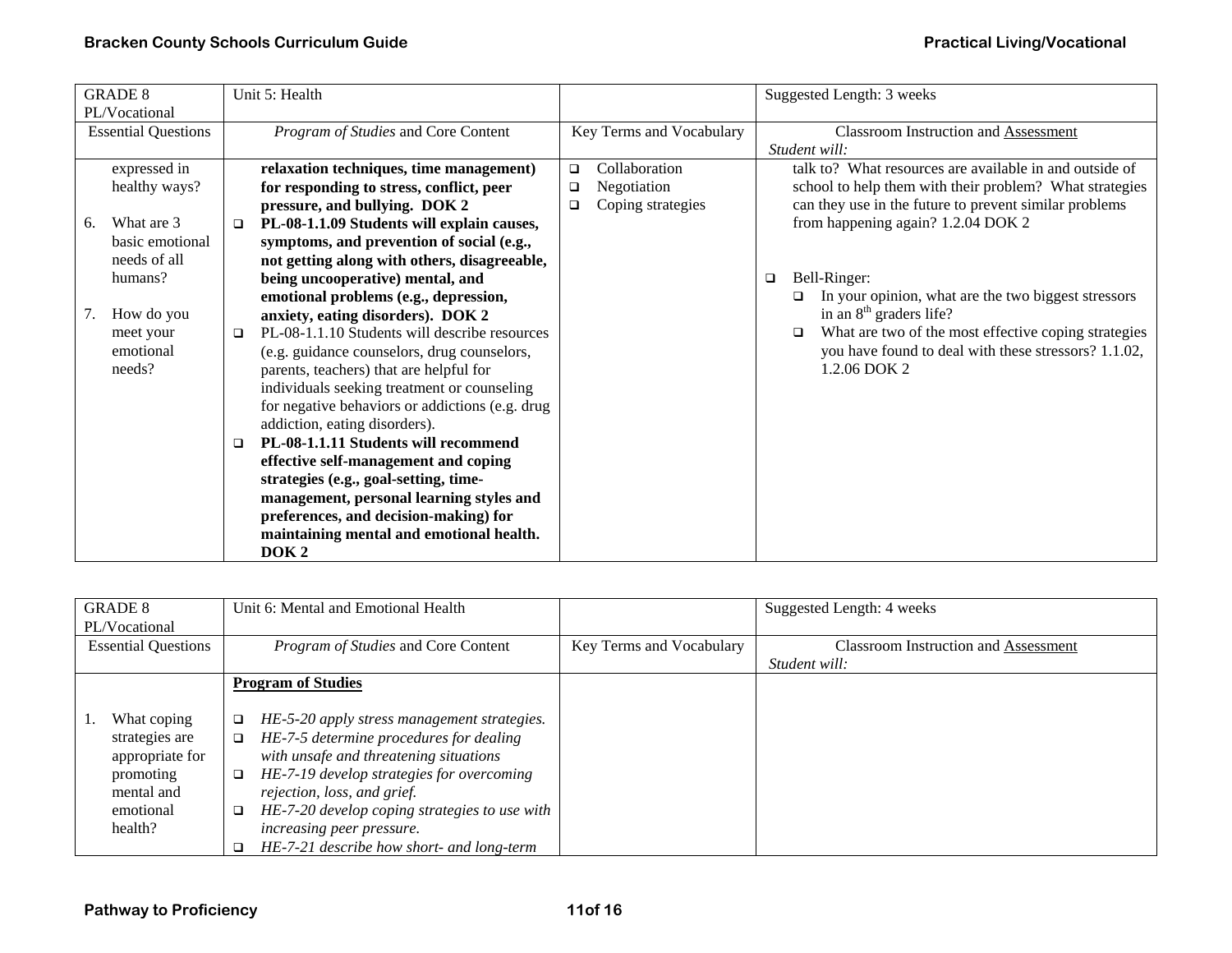| <b>GRADE 8</b>             |                 |        | Unit 5: Health                                                                   |        |                          |        | Suggested Length: 3 weeks                                 |
|----------------------------|-----------------|--------|----------------------------------------------------------------------------------|--------|--------------------------|--------|-----------------------------------------------------------|
| PL/Vocational              |                 |        |                                                                                  |        |                          |        |                                                           |
| <b>Essential Questions</b> |                 |        | Program of Studies and Core Content                                              |        | Key Terms and Vocabulary |        | Classroom Instruction and Assessment                      |
|                            |                 |        |                                                                                  |        |                          |        | Student will:                                             |
|                            | expressed in    |        | relaxation techniques, time management)                                          | $\Box$ | Collaboration            |        | talk to? What resources are available in and outside of   |
|                            | healthy ways?   |        | for responding to stress, conflict, peer                                         | □      | Negotiation              |        | school to help them with their problem? What strategies   |
|                            |                 |        | pressure, and bullying. DOK 2                                                    | □      | Coping strategies        |        | can they use in the future to prevent similar problems    |
| 6.                         | What are 3      | □      | PL-08-1.1.09 Students will explain causes,                                       |        |                          |        | from happening again? 1.2.04 DOK 2                        |
|                            | basic emotional |        | symptoms, and prevention of social (e.g.,                                        |        |                          |        |                                                           |
|                            | needs of all    |        | not getting along with others, disagreeable,                                     |        |                          |        |                                                           |
|                            | humans?         |        | being uncooperative) mental, and                                                 |        |                          | $\Box$ | Bell-Ringer:                                              |
|                            |                 |        | emotional problems (e.g., depression,                                            |        |                          |        | In your opinion, what are the two biggest stressors       |
| 7.                         | How do you      |        | anxiety, eating disorders). DOK 2                                                |        |                          |        | in an $8th$ graders life?                                 |
|                            | meet your       | □      | PL-08-1.1.10 Students will describe resources                                    |        |                          |        | What are two of the most effective coping strategies<br>◻ |
|                            | emotional       |        | (e.g. guidance counselors, drug counselors,                                      |        |                          |        | you have found to deal with these stressors? 1.1.02,      |
|                            | needs?          |        | parents, teachers) that are helpful for                                          |        |                          |        | 1.2.06 DOK 2                                              |
|                            |                 |        | individuals seeking treatment or counseling                                      |        |                          |        |                                                           |
|                            |                 |        | for negative behaviors or addictions (e.g. drug<br>addiction, eating disorders). |        |                          |        |                                                           |
|                            |                 |        | PL-08-1.1.11 Students will recommend                                             |        |                          |        |                                                           |
|                            |                 | $\Box$ | effective self-management and coping                                             |        |                          |        |                                                           |
|                            |                 |        | strategies (e.g., goal-setting, time-                                            |        |                          |        |                                                           |
|                            |                 |        | management, personal learning styles and                                         |        |                          |        |                                                           |
|                            |                 |        | preferences, and decision-making) for                                            |        |                          |        |                                                           |
|                            |                 |        | maintaining mental and emotional health.                                         |        |                          |        |                                                           |
|                            |                 |        |                                                                                  |        |                          |        |                                                           |
|                            |                 |        | DOK <sub>2</sub>                                                                 |        |                          |        |                                                           |

| <b>GRADE 8</b>             | Unit 6: Mental and Emotional Health                     |                          | Suggested Length: 4 weeks                   |
|----------------------------|---------------------------------------------------------|--------------------------|---------------------------------------------|
| PL/Vocational              |                                                         |                          |                                             |
| <b>Essential Questions</b> | <i>Program of Studies</i> and Core Content              | Key Terms and Vocabulary | <b>Classroom Instruction and Assessment</b> |
|                            |                                                         |                          | Student will:                               |
|                            | <b>Program of Studies</b>                               |                          |                                             |
|                            |                                                         |                          |                                             |
| What coping                | HE-5-20 apply stress management strategies.<br>$\Box$   |                          |                                             |
| strategies are             | HE-7-5 determine procedures for dealing<br>$\Box$       |                          |                                             |
| appropriate for            | with unsafe and threatening situations                  |                          |                                             |
| promoting                  | HE-7-19 develop strategies for overcoming<br>$\Box$     |                          |                                             |
| mental and                 | rejection, loss, and grief.                             |                          |                                             |
| emotional                  | HE-7-20 develop coping strategies to use with<br>$\Box$ |                          |                                             |
| health?                    | increasing peer pressure.                               |                          |                                             |
|                            | HE-7-21 describe how short- and long-term               |                          |                                             |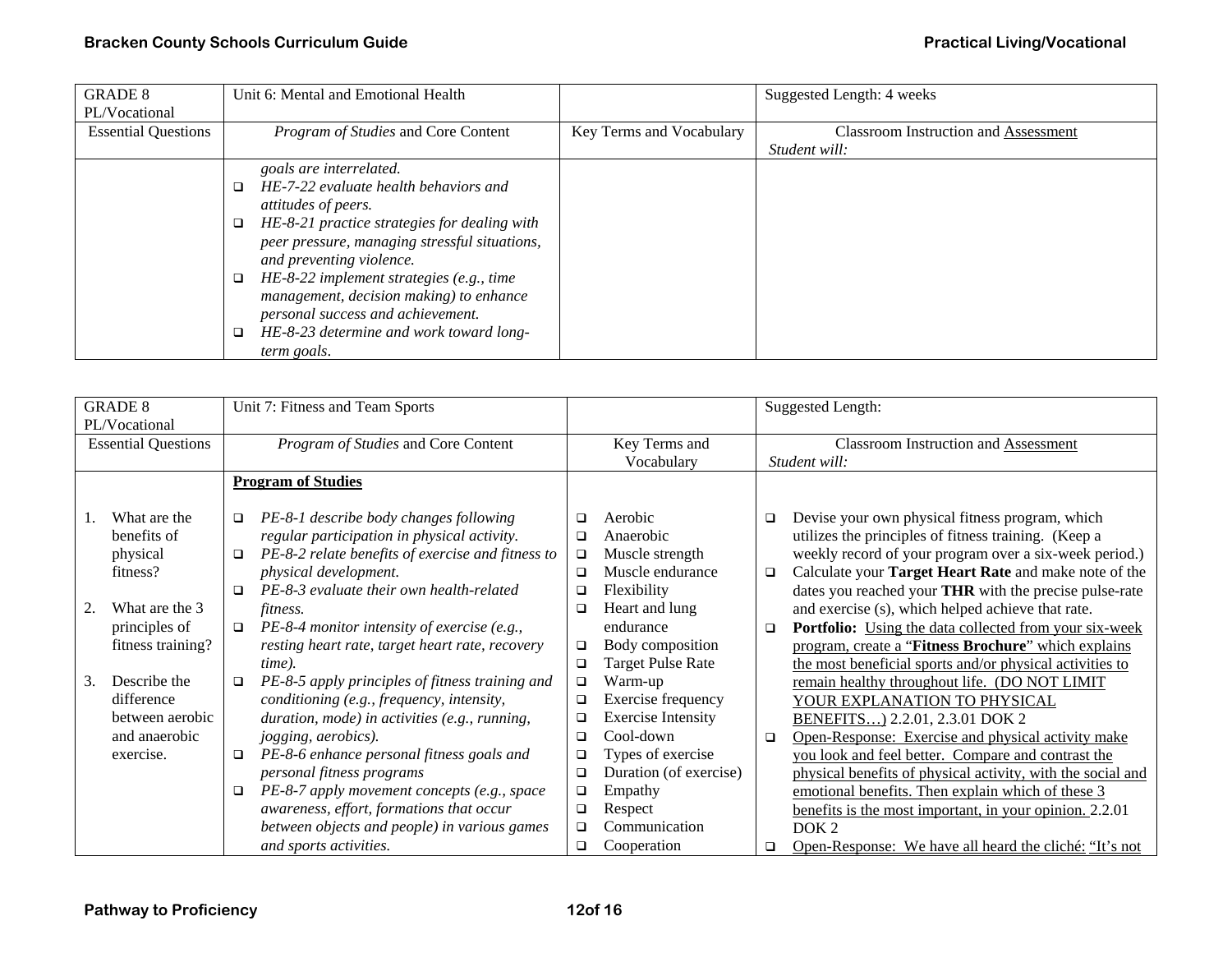| <b>GRADE 8</b>             | Unit 6: Mental and Emotional Health           |                          | Suggested Length: 4 weeks                   |
|----------------------------|-----------------------------------------------|--------------------------|---------------------------------------------|
| PL/Vocational              |                                               |                          |                                             |
| <b>Essential Questions</b> | <i>Program of Studies</i> and Core Content    | Key Terms and Vocabulary | <b>Classroom Instruction and Assessment</b> |
|                            |                                               |                          | Student will:                               |
|                            | goals are interrelated.                       |                          |                                             |
|                            | HE-7-22 evaluate health behaviors and         |                          |                                             |
|                            | <i>attitudes of peers.</i>                    |                          |                                             |
|                            | HE-8-21 practice strategies for dealing with  |                          |                                             |
|                            | peer pressure, managing stressful situations, |                          |                                             |
|                            | and preventing violence.                      |                          |                                             |
|                            | HE-8-22 implement strategies (e.g., time      |                          |                                             |
|                            | management, decision making) to enhance       |                          |                                             |
|                            | personal success and achievement.             |                          |                                             |
|                            | HE-8-23 determine and work toward long-       |                          |                                             |
|                            | term goals.                                   |                          |                                             |

| <b>GRADE 8</b>             |                             |                                                      | Unit 7: Fitness and Team Sports                                                       |             |                                             |               | <b>Suggested Length:</b>                                                                                |
|----------------------------|-----------------------------|------------------------------------------------------|---------------------------------------------------------------------------------------|-------------|---------------------------------------------|---------------|---------------------------------------------------------------------------------------------------------|
| PL/Vocational              |                             |                                                      |                                                                                       |             |                                             |               |                                                                                                         |
| <b>Essential Questions</b> |                             | Program of Studies and Core Content<br>Key Terms and |                                                                                       | Vocabulary  | <b>Classroom Instruction and Assessment</b> |               |                                                                                                         |
|                            |                             |                                                      |                                                                                       |             |                                             | Student will: |                                                                                                         |
|                            |                             |                                                      | <b>Program of Studies</b>                                                             |             |                                             |               |                                                                                                         |
|                            | What are the<br>benefits of | $\Box$                                               | PE-8-1 describe body changes following<br>regular participation in physical activity. | □<br>$\Box$ | Aerobic<br>Anaerobic                        | □             | Devise your own physical fitness program, which<br>utilizes the principles of fitness training. (Keep a |
|                            | physical                    | $\Box$                                               | PE-8-2 relate benefits of exercise and fitness to                                     | $\Box$      | Muscle strength                             |               | weekly record of your program over a six-week period.)                                                  |
|                            | fitness?                    |                                                      | physical development.                                                                 | □           | Muscle endurance                            | $\Box$        | Calculate your Target Heart Rate and make note of the                                                   |
|                            |                             | $\Box$                                               | PE-8-3 evaluate their own health-related                                              | ❏           | Flexibility                                 |               | dates you reached your THR with the precise pulse-rate                                                  |
| 2.                         | What are the 3              |                                                      | fitness.                                                                              | □           | Heart and lung                              |               | and exercise (s), which helped achieve that rate.                                                       |
|                            | principles of               | □                                                    | PE-8-4 monitor intensity of exercise (e.g.,                                           |             | endurance                                   | □             | <b>Portfolio:</b> Using the data collected from your six-week                                           |
|                            | fitness training?           |                                                      | resting heart rate, target heart rate, recovery                                       | □           | Body composition                            |               | program, create a "Fitness Brochure" which explains                                                     |
|                            |                             |                                                      | time).                                                                                | $\Box$      | <b>Target Pulse Rate</b>                    |               | the most beneficial sports and/or physical activities to                                                |
| 3.                         | Describe the                | $\Box$                                               | PE-8-5 apply principles of fitness training and                                       | $\Box$      | Warm-up                                     |               | remain healthy throughout life. (DO NOT LIMIT                                                           |
|                            | difference                  |                                                      | conditioning (e.g., frequency, intensity,                                             | $\Box$      | Exercise frequency                          |               | YOUR EXPLANATION TO PHYSICAL                                                                            |
|                            | between aerobic             |                                                      | duration, mode) in activities (e.g., running,                                         | $\Box$      | <b>Exercise Intensity</b>                   |               | BENEFITS) 2.2.01, 2.3.01 DOK 2                                                                          |
|                            | and anaerobic               |                                                      | jogging, aerobics).                                                                   | □           | Cool-down                                   | □             | Open-Response: Exercise and physical activity make                                                      |
|                            | exercise.                   | $\Box$                                               | PE-8-6 enhance personal fitness goals and                                             | ❏           | Types of exercise                           |               | you look and feel better. Compare and contrast the                                                      |
|                            |                             |                                                      | personal fitness programs                                                             | $\Box$      | Duration (of exercise)                      |               | physical benefits of physical activity, with the social and                                             |
|                            |                             | $\Box$                                               | PE-8-7 apply movement concepts (e.g., space                                           | $\Box$      | Empathy                                     |               | emotional benefits. Then explain which of these 3                                                       |
|                            |                             |                                                      | awareness, effort, formations that occur                                              | $\Box$      | Respect                                     |               | benefits is the most important, in your opinion. 2.2.01                                                 |
|                            |                             |                                                      | between objects and people) in various games                                          | $\Box$      | Communication                               |               | DOK <sub>2</sub>                                                                                        |
|                            |                             |                                                      | and sports activities.                                                                | ❏           | Cooperation                                 | ❏             | Open-Response: We have all heard the cliché: "It's not                                                  |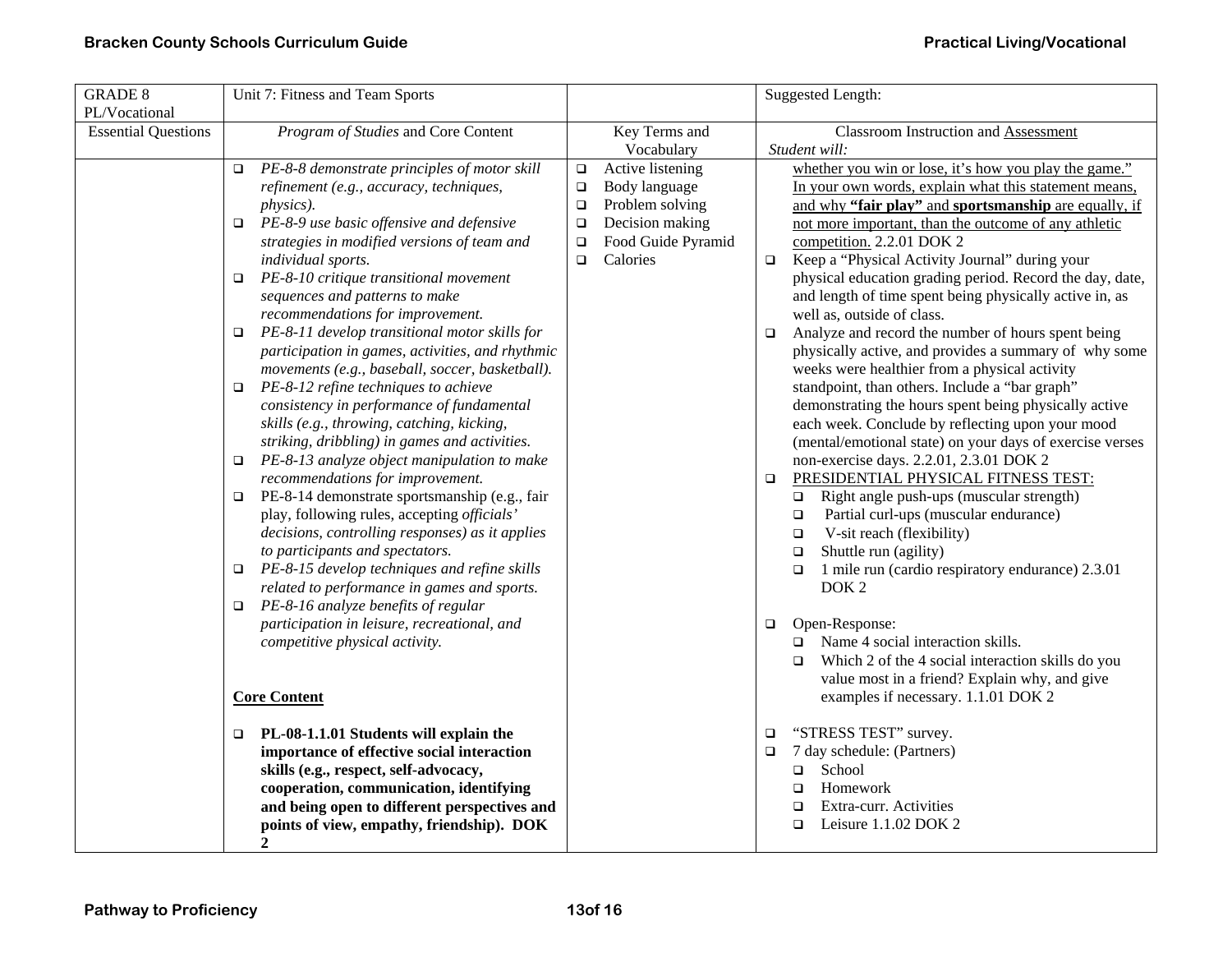| <b>GRADE 8</b><br>PL/Vocational | Unit 7: Fitness and Team Sports                                                                                                                                                                                                                                                                                                                                                                                                                                                                                                                                                                                                                                                                                                                                                                                                                                                                                                                                                                                                                                                                                                                                                                                                                                                      |                                                                                                                                                                       | Suggested Length:                                                                                                                                                                                                                                                                                                                                                                                                                                                                                                                                                                                                                                                                                                                                                                                                                                                                                                                                                                                                                                                                                                                                                                                                                                                                                                                                                                                                                                                           |
|---------------------------------|--------------------------------------------------------------------------------------------------------------------------------------------------------------------------------------------------------------------------------------------------------------------------------------------------------------------------------------------------------------------------------------------------------------------------------------------------------------------------------------------------------------------------------------------------------------------------------------------------------------------------------------------------------------------------------------------------------------------------------------------------------------------------------------------------------------------------------------------------------------------------------------------------------------------------------------------------------------------------------------------------------------------------------------------------------------------------------------------------------------------------------------------------------------------------------------------------------------------------------------------------------------------------------------|-----------------------------------------------------------------------------------------------------------------------------------------------------------------------|-----------------------------------------------------------------------------------------------------------------------------------------------------------------------------------------------------------------------------------------------------------------------------------------------------------------------------------------------------------------------------------------------------------------------------------------------------------------------------------------------------------------------------------------------------------------------------------------------------------------------------------------------------------------------------------------------------------------------------------------------------------------------------------------------------------------------------------------------------------------------------------------------------------------------------------------------------------------------------------------------------------------------------------------------------------------------------------------------------------------------------------------------------------------------------------------------------------------------------------------------------------------------------------------------------------------------------------------------------------------------------------------------------------------------------------------------------------------------------|
| <b>Essential Questions</b>      | Program of Studies and Core Content                                                                                                                                                                                                                                                                                                                                                                                                                                                                                                                                                                                                                                                                                                                                                                                                                                                                                                                                                                                                                                                                                                                                                                                                                                                  | Key Terms and<br>Vocabulary                                                                                                                                           | <b>Classroom Instruction and Assessment</b><br>Student will:                                                                                                                                                                                                                                                                                                                                                                                                                                                                                                                                                                                                                                                                                                                                                                                                                                                                                                                                                                                                                                                                                                                                                                                                                                                                                                                                                                                                                |
|                                 | PE-8-8 demonstrate principles of motor skill<br>$\Box$<br>refinement (e.g., accuracy, techniques,<br>physics).<br>PE-8-9 use basic offensive and defensive<br>$\Box$<br>strategies in modified versions of team and<br>individual sports.<br>PE-8-10 critique transitional movement<br>$\Box$<br>sequences and patterns to make<br>recommendations for improvement.<br>$\Box$ PE-8-11 develop transitional motor skills for<br>participation in games, activities, and rhythmic<br>movements (e.g., baseball, soccer, basketball).<br>PE-8-12 refine techniques to achieve<br>$\Box$<br>consistency in performance of fundamental<br>skills (e.g., throwing, catching, kicking,<br>striking, dribbling) in games and activities.<br>PE-8-13 analyze object manipulation to make<br>□<br>recommendations for improvement.<br>$\Box$ PE-8-14 demonstrate sportsmanship (e.g., fair<br>play, following rules, accepting officials'<br>decisions, controlling responses) as it applies<br>to participants and spectators.<br>$\Box$ PE-8-15 develop techniques and refine skills<br>related to performance in games and sports.<br>PE-8-16 analyze benefits of regular<br>$\Box$<br>participation in leisure, recreational, and<br>competitive physical activity.<br><b>Core Content</b> | Active listening<br>$\Box$<br>$\Box$<br>Body language<br>Problem solving<br>$\Box$<br>Decision making<br>$\Box$<br>Food Guide Pyramid<br>$\Box$<br>Calories<br>$\Box$ | whether you win or lose, it's how you play the game."<br>In your own words, explain what this statement means,<br>and why "fair play" and sportsmanship are equally, if<br>not more important, than the outcome of any athletic<br>competition. 2.2.01 DOK 2<br>Keep a "Physical Activity Journal" during your<br>$\Box$<br>physical education grading period. Record the day, date,<br>and length of time spent being physically active in, as<br>well as, outside of class.<br>Analyze and record the number of hours spent being<br>$\Box$<br>physically active, and provides a summary of why some<br>weeks were healthier from a physical activity<br>standpoint, than others. Include a "bar graph"<br>demonstrating the hours spent being physically active<br>each week. Conclude by reflecting upon your mood<br>(mental/emotional state) on your days of exercise verses<br>non-exercise days. 2.2.01, 2.3.01 DOK 2<br>PRESIDENTIAL PHYSICAL FITNESS TEST:<br>□<br>Right angle push-ups (muscular strength)<br>$\Box$<br>Partial curl-ups (muscular endurance)<br>$\Box$<br>V-sit reach (flexibility)<br>$\Box$<br>Shuttle run (agility)<br>$\Box$<br>1 mile run (cardio respiratory endurance) 2.3.01<br>$\Box$<br>DOK <sub>2</sub><br>Open-Response:<br>□<br>Name 4 social interaction skills.<br>$\Box$<br>Which 2 of the 4 social interaction skills do you<br>$\Box$<br>value most in a friend? Explain why, and give<br>examples if necessary. 1.1.01 DOK 2 |
|                                 | $\Box$ PL-08-1.1.01 Students will explain the<br>importance of effective social interaction<br>skills (e.g., respect, self-advocacy,<br>cooperation, communication, identifying<br>and being open to different perspectives and<br>points of view, empathy, friendship). DOK<br>2                                                                                                                                                                                                                                                                                                                                                                                                                                                                                                                                                                                                                                                                                                                                                                                                                                                                                                                                                                                                    |                                                                                                                                                                       | "STRESS TEST" survey.<br>$\Box$<br>7 day schedule: (Partners)<br>$\Box$<br>School<br>$\Box$<br>Homework<br>$\Box$<br>Extra-curr. Activities<br>$\Box$<br>Leisure 1.1.02 DOK 2<br>$\Box$                                                                                                                                                                                                                                                                                                                                                                                                                                                                                                                                                                                                                                                                                                                                                                                                                                                                                                                                                                                                                                                                                                                                                                                                                                                                                     |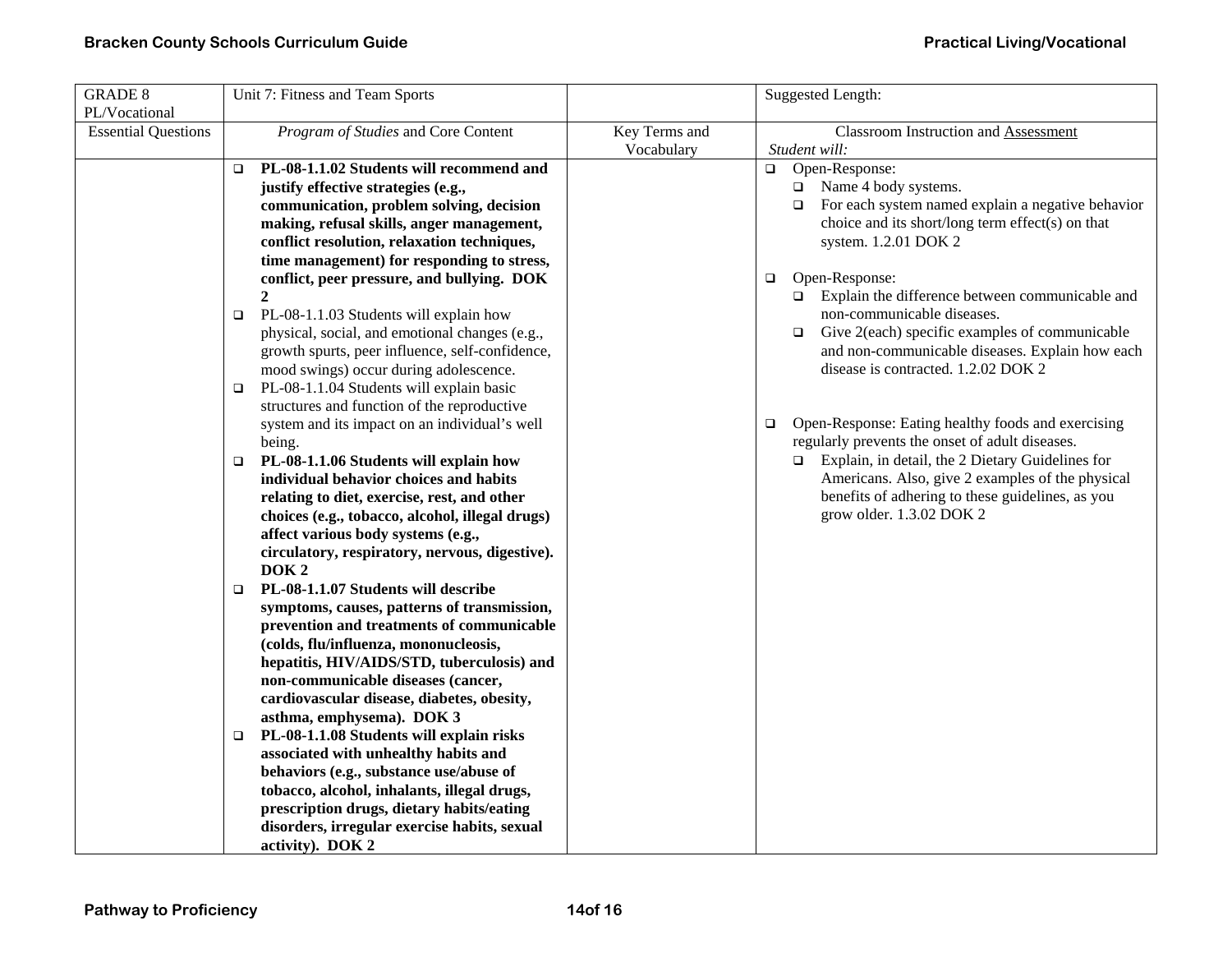| <b>GRADE 8</b>                              | Unit 7: Fitness and Team Sports                                                                                                                                                                                                                                                                                                                                                                                                                                                                                                                                                                                                                                                                                                                                                                                                                                                                                                                                                                                                                                                                                                                                                                                                                                                                                                                                                                                                                                                                                                                                                                                                                                                         |                             | Suggested Length:                                                                                                                                                                                                                                                                                                                                                                                                                                                                                                                                                                                                                                                                                                                                                                          |
|---------------------------------------------|-----------------------------------------------------------------------------------------------------------------------------------------------------------------------------------------------------------------------------------------------------------------------------------------------------------------------------------------------------------------------------------------------------------------------------------------------------------------------------------------------------------------------------------------------------------------------------------------------------------------------------------------------------------------------------------------------------------------------------------------------------------------------------------------------------------------------------------------------------------------------------------------------------------------------------------------------------------------------------------------------------------------------------------------------------------------------------------------------------------------------------------------------------------------------------------------------------------------------------------------------------------------------------------------------------------------------------------------------------------------------------------------------------------------------------------------------------------------------------------------------------------------------------------------------------------------------------------------------------------------------------------------------------------------------------------------|-----------------------------|--------------------------------------------------------------------------------------------------------------------------------------------------------------------------------------------------------------------------------------------------------------------------------------------------------------------------------------------------------------------------------------------------------------------------------------------------------------------------------------------------------------------------------------------------------------------------------------------------------------------------------------------------------------------------------------------------------------------------------------------------------------------------------------------|
| PL/Vocational<br><b>Essential Questions</b> | Program of Studies and Core Content                                                                                                                                                                                                                                                                                                                                                                                                                                                                                                                                                                                                                                                                                                                                                                                                                                                                                                                                                                                                                                                                                                                                                                                                                                                                                                                                                                                                                                                                                                                                                                                                                                                     | Key Terms and<br>Vocabulary | Classroom Instruction and Assessment<br>Student will:                                                                                                                                                                                                                                                                                                                                                                                                                                                                                                                                                                                                                                                                                                                                      |
|                                             | PL-08-1.1.02 Students will recommend and<br>$\Box$<br>justify effective strategies (e.g.,<br>communication, problem solving, decision<br>making, refusal skills, anger management,<br>conflict resolution, relaxation techniques,<br>time management) for responding to stress,<br>conflict, peer pressure, and bullying. DOK<br>$\overline{2}$<br>PL-08-1.1.03 Students will explain how<br>$\Box$<br>physical, social, and emotional changes (e.g.,<br>growth spurts, peer influence, self-confidence,<br>mood swings) occur during adolescence.<br>PL-08-1.1.04 Students will explain basic<br>□<br>structures and function of the reproductive<br>system and its impact on an individual's well<br>being.<br>PL-08-1.1.06 Students will explain how<br>$\Box$<br>individual behavior choices and habits<br>relating to diet, exercise, rest, and other<br>choices (e.g., tobacco, alcohol, illegal drugs)<br>affect various body systems (e.g.,<br>circulatory, respiratory, nervous, digestive).<br>DOK <sub>2</sub><br>PL-08-1.1.07 Students will describe<br>$\Box$<br>symptoms, causes, patterns of transmission,<br>prevention and treatments of communicable<br>(colds, flu/influenza, mononucleosis,<br>hepatitis, HIV/AIDS/STD, tuberculosis) and<br>non-communicable diseases (cancer,<br>cardiovascular disease, diabetes, obesity,<br>asthma, emphysema). DOK 3<br>PL-08-1.1.08 Students will explain risks<br>$\Box$<br>associated with unhealthy habits and<br>behaviors (e.g., substance use/abuse of<br>tobacco, alcohol, inhalants, illegal drugs,<br>prescription drugs, dietary habits/eating<br>disorders, irregular exercise habits, sexual<br>activity). DOK 2 |                             | Open-Response:<br>$\Box$<br>$\Box$ Name 4 body systems.<br>For each system named explain a negative behavior<br>$\Box$<br>choice and its short/long term effect(s) on that<br>system. 1.2.01 DOK 2<br>Open-Response:<br>$\Box$<br>Explain the difference between communicable and<br>non-communicable diseases.<br>Give 2(each) specific examples of communicable<br>$\Box$<br>and non-communicable diseases. Explain how each<br>disease is contracted. 1.2.02 DOK 2<br>Open-Response: Eating healthy foods and exercising<br>$\Box$<br>regularly prevents the onset of adult diseases.<br>Explain, in detail, the 2 Dietary Guidelines for<br>$\Box$<br>Americans. Also, give 2 examples of the physical<br>benefits of adhering to these guidelines, as you<br>grow older. 1.3.02 DOK 2 |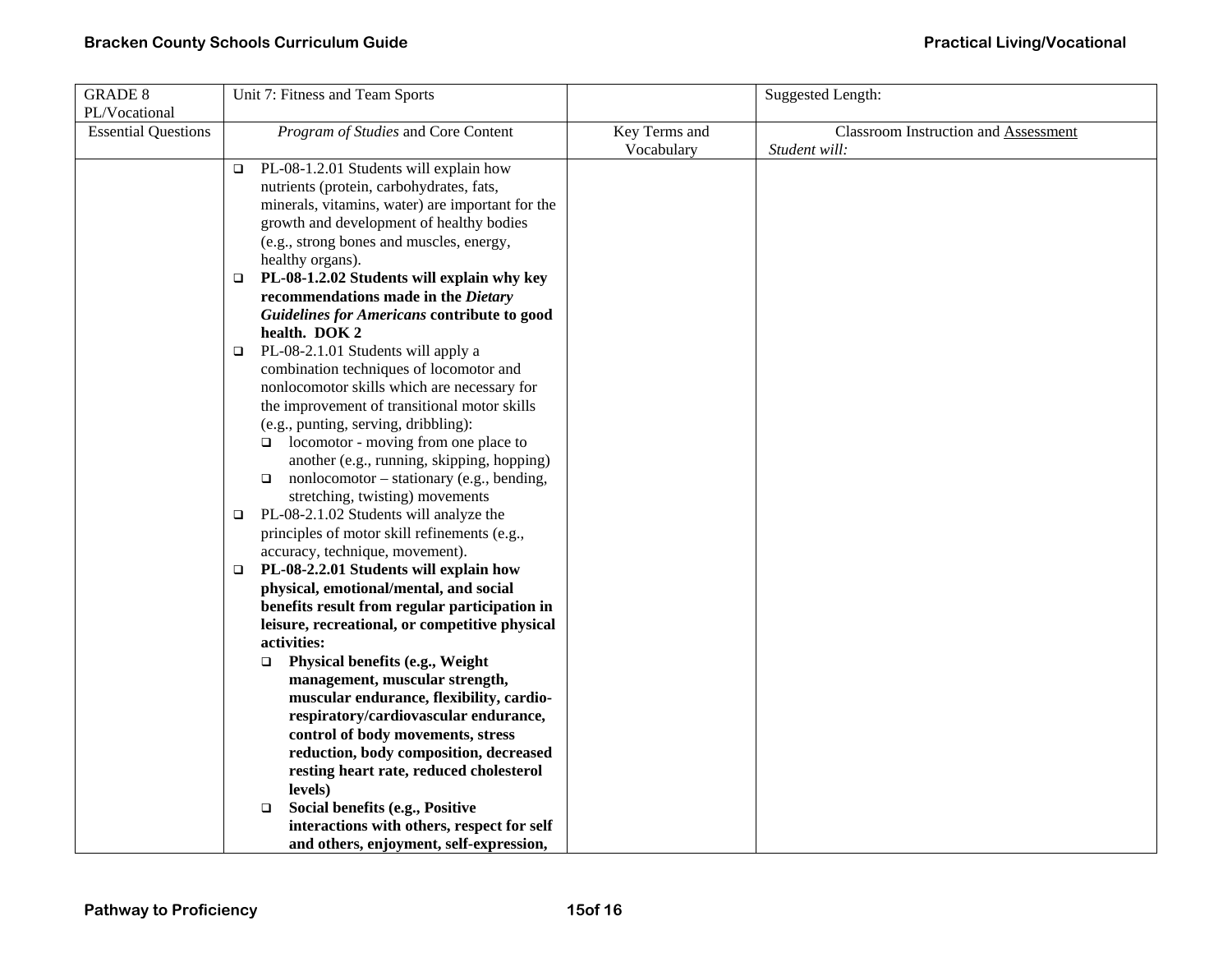| <b>GRADE 8</b>             | Unit 7: Fitness and Team Sports                     |               | <b>Suggested Length:</b>                    |
|----------------------------|-----------------------------------------------------|---------------|---------------------------------------------|
| PL/Vocational              |                                                     |               |                                             |
| <b>Essential Questions</b> | Program of Studies and Core Content                 | Key Terms and | <b>Classroom Instruction and Assessment</b> |
|                            |                                                     | Vocabulary    | Student will:                               |
|                            | PL-08-1.2.01 Students will explain how<br>$\Box$    |               |                                             |
|                            | nutrients (protein, carbohydrates, fats,            |               |                                             |
|                            | minerals, vitamins, water) are important for the    |               |                                             |
|                            | growth and development of healthy bodies            |               |                                             |
|                            | (e.g., strong bones and muscles, energy,            |               |                                             |
|                            | healthy organs).                                    |               |                                             |
|                            | PL-08-1.2.02 Students will explain why key<br>□     |               |                                             |
|                            | recommendations made in the Dietary                 |               |                                             |
|                            | Guidelines for Americans contribute to good         |               |                                             |
|                            | health. DOK 2                                       |               |                                             |
|                            | PL-08-2.1.01 Students will apply a<br>□             |               |                                             |
|                            | combination techniques of locomotor and             |               |                                             |
|                            | nonlocomotor skills which are necessary for         |               |                                             |
|                            | the improvement of transitional motor skills        |               |                                             |
|                            | (e.g., punting, serving, dribbling):                |               |                                             |
|                            | $\Box$ locomotor - moving from one place to         |               |                                             |
|                            | another (e.g., running, skipping, hopping)          |               |                                             |
|                            | nonlocomotor – stationary (e.g., bending,<br>$\Box$ |               |                                             |
|                            | stretching, twisting) movements                     |               |                                             |
|                            | PL-08-2.1.02 Students will analyze the<br>$\Box$    |               |                                             |
|                            | principles of motor skill refinements (e.g.,        |               |                                             |
|                            | accuracy, technique, movement).                     |               |                                             |
|                            | PL-08-2.2.01 Students will explain how<br>$\Box$    |               |                                             |
|                            | physical, emotional/mental, and social              |               |                                             |
|                            | benefits result from regular participation in       |               |                                             |
|                            | leisure, recreational, or competitive physical      |               |                                             |
|                            | activities:                                         |               |                                             |
|                            | Physical benefits (e.g., Weight<br>$\Box$           |               |                                             |
|                            | management, muscular strength,                      |               |                                             |
|                            | muscular endurance, flexibility, cardio-            |               |                                             |
|                            | respiratory/cardiovascular endurance,               |               |                                             |
|                            | control of body movements, stress                   |               |                                             |
|                            | reduction, body composition, decreased              |               |                                             |
|                            | resting heart rate, reduced cholesterol             |               |                                             |
|                            | levels)                                             |               |                                             |
|                            | Social benefits (e.g., Positive<br>$\Box$           |               |                                             |
|                            | interactions with others, respect for self          |               |                                             |
|                            | and others, enjoyment, self-expression,             |               |                                             |